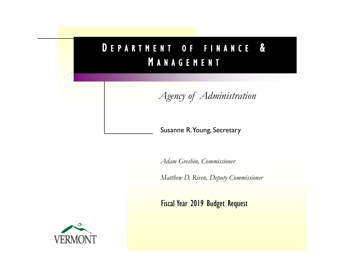# D E P A R T M E N T O F F I N A N C E & **MANAGEMENT**

*Agency of Administration*

## Susanne R. Young, Secretary

*Adam Greshin, Commissioner*

*Matthew D. Riven, Deputy Commissioner*

Fiscal Year 2019 Budget Request

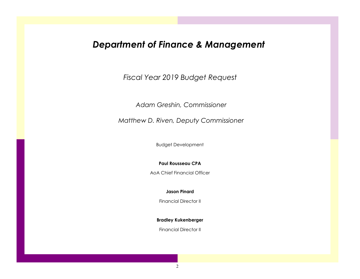# *Department of Finance & Management*

*Fiscal Year 2019 Budget Request*

*Adam Greshin, Commissioner*

*Matthew D. Riven, Deputy Commissioner*

Budget Development

**Paul Rousseau CPA**

AoA Chief Financial Officer

**Jason Pinard**

Financial Director II

**Bradley Kukenberger**

Financial Director II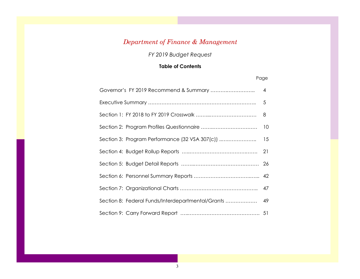## *Department of Finance & Management*

*FY 2019 Budget Request*

### **Table of Contents**

#### Page

| Governor's FY 2019 Recommend & Summary                | $\overline{4}$ |
|-------------------------------------------------------|----------------|
|                                                       |                |
|                                                       | 8              |
|                                                       |                |
|                                                       |                |
|                                                       |                |
|                                                       |                |
|                                                       |                |
|                                                       |                |
| Section 8: Federal Funds/Interdepartmental/Grants  49 |                |
|                                                       |                |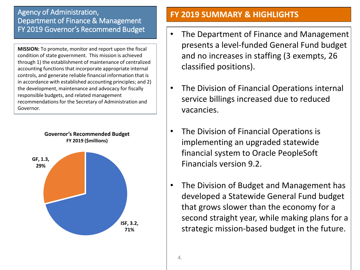## Agency of Administration, Department of Finance & Management FY 2019 Governor's Recommend Budget

**MISSION:** To promote, monitor and report upon the fiscal condition of state government. This mission is achieved through 1) the establishment of maintenance of centralized accounting functions that incorporate appropriate internal controls, and generate reliable financial information that is in accordance with established accounting principles; and 2) the development, maintenance and advocacy for fiscally responsible budgets, and related management recommendations for the Secretary of Administration and Governor.



## **FY 2019 SUMMARY & HIGHLIGHTS**

- The Department of Finance and Management presents a level-funded General Fund budget and no increases in staffing (3 exempts, 26 classified positions).
- The Division of Financial Operations internal service billings increased due to reduced vacancies.
- The Division of Financial Operations is implementing an upgraded statewide financial system to Oracle PeopleSoft Financials version 9.2.
- The Division of Budget and Management has developed a Statewide General Fund budget that grows slower than the economy for a second straight year, while making plans for a strategic mission-based budget in the future.

4.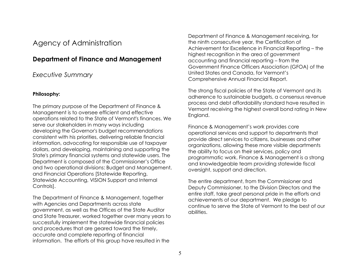## Agency of Administration

### **Department of Finance and Management**

### *Executive Summary*

#### **Philosophy:**

The primary purpose of the Department of Finance & Management is to oversee efficient and effective operations related to the State of Vermont's finances. We serve our stakeholders in many ways including developing the Governor's budget recommendations consistent with his priorities, delivering reliable financial information, advocating for responsible use of taxpayer dollars, and developing, maintaining and supporting the State's primary financial systems and statewide users. The Department is composed of the Commissioner's Office and two operational divisions: Budget and Management, and Financial Operations [Statewide Reporting, Statewide Accounting, VISION Support and Internal Controls].

The Department of Finance & Management, together with Agencies and Departments across state government, as well as the Offices of the State Auditor and State Treasurer, worked together over many years to successfully implement the statewide financial policies and procedures that are geared toward the timely, accurate and complete reporting of financial information. The efforts of this group have resulted in the

Department of Finance & Management receiving, for the ninth consecutive year, the Certification of Achievement for Excellence in Financial Reporting – the highest recognition in the area of government accounting and financial reporting – from the Government Finance Officers Association (GFOA) of the United States and Canada, for Vermont's Comprehensive Annual Financial Report.

The strong fiscal policies of the State of Vermont and its adherence to sustainable budgets, a consensus revenue process and debt affordability standard have resulted in Vermont receiving the highest overall bond rating in New England.

Finance & Management's work provides core operational services and support to departments that provide direct services to citizens, businesses and other organizations, allowing these more visible departments the ability to focus on their services, policy and programmatic work. Finance & Management is a strong and knowledgeable team providing statewide fiscal oversight, support and direction.

The entire department, from the Commissioner and Deputy Commissioner, to the Division Directors and the entire staff, take great personal pride in the efforts and achievements of our department. We pledge to continue to serve the State of Vermont to the best of our abilities.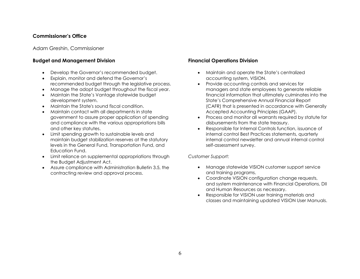#### **Commissioner's Office**

Adam Greshin, Commissioner

#### **Budget and Management Division**

- Develop the Governor's recommended budget.
- Explain, monitor and defend the Governor's recommended budget through the legislative process.
- Manage the adopt budget throughout the fiscal year.
- Maintain the State's Vantage statewide budget development system.
- Maintain the State's sound fiscal condition.
- Maintain contact with all departments in state government to assure proper application of spending and compliance with the various appropriations bills and other key statutes.
- Limit spending growth to sustainable levels and maintain budget stabilization reserves at the statutory levels in the General Fund, Transportation Fund, and Education Fund.
- Limit reliance on supplemental appropriations through the Budget Adjustment Act.
- Assure compliance with Administration Bulletin 3.5, the contracting review and approval process.

#### **Financial Operations Division**

- Maintain and operate the State's centralized accounting system, VISION.
- Provide accounting controls and services for managers and state employees to generate reliable financial information that ultimately culminates into the State's Comprehensive Annual Financial Report (CAFR) that is presented in accordance with Generally Accepted Accounting Principles (GAAP).
- Process and monitor all warrants required by statute for disbursements from the state treasury.
- Responsible for Internal Controls function, issuance of internal control Best Practices statements, quarterly internal control newsletter and annual internal control self-assessment survey.

#### *Customer Support:*

- Manage statewide VISION customer support service and training programs.
- Coordinate VISION configuration change requests, and system maintenance with Financial Operations, DII and Human Resources as necessary.
- Responsible for VISION user training materials and classes and maintaining updated VISION User Manuals.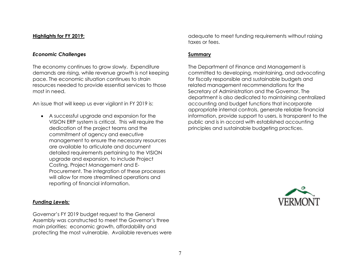#### **Highlights for FY 2019:**

#### *Economic Challenges*

The economy continues to grow slowly. Expenditure demands are rising, while revenue growth is not keeping pace. The economic situation continues to strain resources needed to provide essential services to those most in need.

An issue that will keep us ever vigilant in FY 2019 is:

• A successful upgrade and expansion for the VISION ERP system is critical. This will require the dedication of the project teams and the commitment of agency and executive management to ensure the necessary resources are available to articulate and document detailed requirements pertaining to the VISION upgrade and expansion, to include Project Costing, Project Management and E-Procurement. The integration of these processes will allow for more streamlined operations and reporting of financial information.

#### *Funding Levels:*

Governor's FY 2019 budget request to the General Assembly was constructed to meet the Governor's three main priorities: economic growth, affordability and protecting the most vulnerable. Available revenues were adequate to meet funding requirements without raising taxes or fees.

#### **Summary**

The Department of Finance and Management is committed to developing, maintaining, and advocating for fiscally responsible and sustainable budgets and related management recommendations for the Secretary of Administration and the Governor. The department is also dedicated to maintaining centralized accounting and budget functions that incorporate appropriate internal controls, generate reliable financial information, provide support to users, is transparent to the public and is in accord with established accounting principles and sustainable budgeting practices.

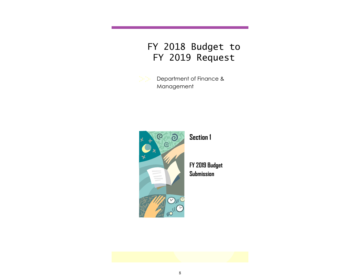# FY 2018 Budget to FY 2019 Request

Department of Finance & Management



**Section 1**

**FY 2019 Budget Submission**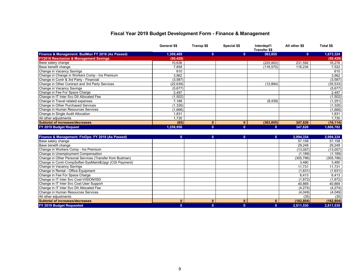#### **Fiscal Year 2019 Budget Development Form - Finance & Management**

|                                                          | General \$\$ | Transp \$\$  | Special \$\$ | Interdept'l<br><b>Transfer \$\$</b> | All other \$\$ | Total \$\$ |
|----------------------------------------------------------|--------------|--------------|--------------|-------------------------------------|----------------|------------|
| Finance & Management: BudMan FY 2018 (As Passed)         | 1,309,469    | $\mathbf{0}$ | $\mathbf{0}$ | 363,855                             | $\mathbf{0}$   | 1,673,324  |
| <b>FY2018 Rescission &amp; Management Savings</b>        | (50.428)     |              |              |                                     |                | (50, 428)  |
| Base salary change                                       | 10.636       |              |              | (225, 952)                          | 231,592        | 16,276     |
| Base benefit change                                      | 7,858        |              |              | (116, 570)                          | 116,234        | 7,522      |
| Change in Vacancy Savings                                | 610          |              |              |                                     |                | 610        |
| Change in Change in Workers Comp - Ins Premium           | 3,962        |              |              |                                     |                | 3,962      |
| Change in Contr & 3rd Party - Financial                  | (3, 587)     |              |              |                                     |                | (3, 587)   |
| Change in Other Contract and 3rd Party Services          | (22, 639)    |              |              | (12, 894)                           |                | (35, 533)  |
| Change in Vacancy Savings                                | (5,677)      |              |              |                                     |                | (5,677)    |
| Change in Fee For Space Charge                           | 2.497        |              |              |                                     |                | 2.497      |
| Change in IT Inter Svc DII Allocated Fee                 | (1,502)      |              |              |                                     |                | (1,502)    |
| Change in Travel related expenses                        | 7,188        |              |              | (8, 439)                            |                | (1, 251)   |
| Change in Other Purchased Services                       | (1, 326)     |              |              |                                     |                | (1, 326)   |
| Change in Human Resources Services                       | (1,666)      |              |              |                                     |                | (1,666)    |
| Change in Single Audit Allocation                        | 1,831        |              |              |                                     |                | 1,831      |
| All other adjustments                                    | 1,730        |              |              |                                     |                | 1.730      |
| Subtotal of increases/decreases                          | (85)         | $\mathbf{0}$ | $\mathbf{0}$ | (363, 855)                          | 347,826        | (16, 114)  |
| FY 2019 Budget Request                                   | 1,258,956    | $\mathbf{0}$ | $\mathbf{0}$ | $\mathbf{0}$                        | 347,826        | 1,606,782  |
|                                                          |              |              |              |                                     |                |            |
| Finance & Management: FinOps: FY 2018 (As Passed)        | $\mathbf{0}$ | $\mathbf{0}$ | $\mathbf{0}$ | $\mathbf{0}$                        | 2.994.334      | 2.994.334  |
| Base salary change                                       |              |              |              |                                     | 57,158         | 57,158     |
| Base benefit change                                      |              |              |              |                                     | 29.248         | 29.248     |
| Change in Workers Comp - Ins Premium                     |              |              |              |                                     | (13,057)       | (13,057)   |
| Change in Unemployment Compensation                      |              |              |              |                                     | (1, 189)       | (1, 189)   |
| Change in Other Personal Services (Transfer from Budman) |              |              |              |                                     | (305, 796)     | (305, 796) |
| Change in Contr-CompSoftwr-SysMaint&Upgr (CGI Payment)   |              |              |              |                                     | 3,480          | 3,480      |
| Change in Vacancy Savings                                |              |              |              |                                     | 11,731         | 11,731     |
| Change in Rental - Office Equipment                      |              |              |              |                                     | (1,631)        | (1,631)    |
| Change in Fee For Space Charge                           |              |              |              |                                     | 6,413          | 6,413      |
| Change in IT Inter Svc Cost-VISION/ISD                   |              |              |              |                                     | (1,672)        | (1,672)    |
| Change in IT Inter Svc Cost User Support                 |              |              |              |                                     | 40.869         | 40,869     |
| Change in IT Inter Svc DII Allocated Fee                 |              |              |              |                                     | (4,274)        | (4, 274)   |
| Change in Human Resources Services                       |              |              |              |                                     | (4,049)        | (4,049)    |
| All other adjustments                                    |              |              |              |                                     | (35)           | (35)       |
| Subtotal of increases/decreases                          | $\mathbf{0}$ | $\mathbf{0}$ | $\mathbf{0}$ | $\bf{0}$                            | (182, 804)     | (182, 804) |
| FY 2019 Budget Requested                                 | $\mathbf{0}$ | $\mathbf{0}$ | $\mathbf{0}$ | $\mathbf{0}$                        | 2,811,530      | 2,811,530  |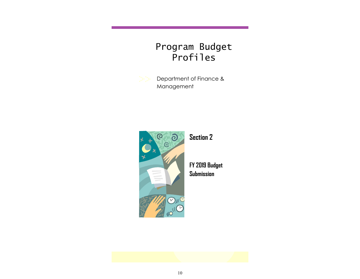# Program Budget Profiles

Department of Finance & Management



**Section 2**

**FY 2019 Budget Submission**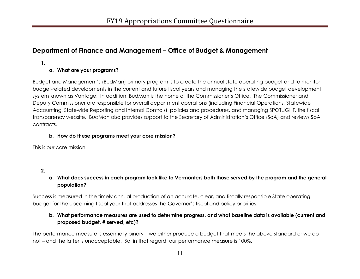## **Department of Finance and Management – Office of Budget & Management**

**1.**

#### **a. What are your programs?**

Budget and Management's (BudMan) primary program is to create the annual state operating budget and to monitor budget-related developments in the current and future fiscal years and managing the statewide budget development system known as Vantage. In addition, BudMan is the home of the Commissioner's Office. The Commissioner and Deputy Commissioner are responsible for overall department operations (including Financial Operations, Statewide Accounting, Statewide Reporting and Internal Controls), policies and procedures, and managing SPOTLIGHT, the fiscal transparency website. BudMan also provides support to the Secretary of Administration's Office (SoA) and reviews SoA contracts.

#### **b. How do these programs meet your core mission?**

This is our core mission.

#### **2.**

#### **a. What does success in each program look like to Vermonters both those served by the program and the general population?**

Success is measured in the timely annual production of an accurate, clear, and fiscally responsible State operating budget for the upcoming fiscal year that addresses the Governor's fiscal and policy priorities.

### **b. What performance measures are used to determine progress, and what baseline data is available (current and proposed budget, # served, etc)?**

The performance measure is essentially binary – we either produce a budget that meets the above standard or we do not – and the latter is unacceptable. So, in that regard, our performance measure is 100%.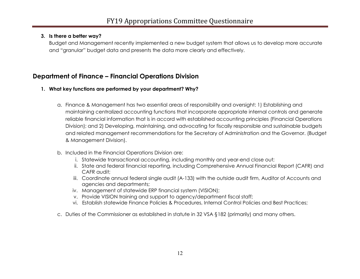#### **3. Is there a better way?**

Budget and Management recently implemented a new budget system that allows us to develop more accurate and "granular" budget data and presents the data more clearly and effectively.

## **Department of Finance – Financial Operations Division**

#### **1. What key functions are performed by your department? Why?**

- a. Finance & Management has two essential areas of responsibility and oversight: 1) Establishing and maintaining centralized accounting functions that incorporate appropriate internal controls and generate reliable financial information that is in accord with established accounting principles (Financial Operations Division); and 2) Developing, maintaining, and advocating for fiscally responsible and sustainable budgets and related management recommendations for the Secretary of Administration and the Governor. (Budget & Management Division).
- b. Included in the Financial Operations Division are:
	- i. Statewide transactional accounting, including monthly and year-end close out;
	- ii. State and federal financial reporting, including Comprehensive Annual Financial Report (CAFR) and CAFR audit;
	- iii. Coordinate annual federal single audit (A-133) with the outside audit firm, Auditor of Accounts and agencies and departments;
	- iv. Management of statewide ERP financial system (VISION);
	- v. Provide VISION training and support to agency/department fiscal staff;
	- vi. Establish statewide Finance Policies & Procedures, Internal Control Policies and Best Practices;
- c. Duties of the Commissioner as established in statute in 32 VSA §182 (primarily) and many others.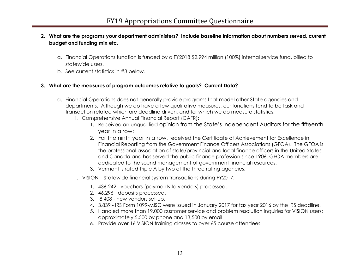#### **2. What are the programs your department administers? Include baseline information about numbers served, current budget and funding mix etc.**

- a. Financial Operations function is funded by a FY2018 \$2.994 million (100%) internal service fund, billed to statewide users.
- b. See current statistics in #3 below.

#### **3. What are the measures of program outcomes relative to goals? Current Data?**

- a. Financial Operations does not generally provide programs that model other State agencies and departments. Although we do have a few qualitative measures, our functions tend to be task and transaction related which are deadline driven, and for which we do measure statistics:
	- i. Comprehensive Annual Financial Report (CAFR):
		- 1. Received an unqualified opinion from the State's Independent Auditors for the fifteenth year in a row;
		- 2. For the ninth year in a row, received the Certificate of Achievement for Excellence in Financial Reporting from the Government Finance Officers Associations (GFOA). The GFOA is the professional association of state/provincial and local finance officers in the United States and Canada and has served the public finance profession since 1906. GFOA members are dedicated to the sound management of government financial resources.
		- 3. Vermont is rated Triple A by two of the three rating agencies.
	- ii. VISION Statewide financial system transactions during FY2017:
		- 1. 436,242 vouchers (payments to vendors) processed.
		- 2. 46,296 deposits processed.
		- 3. 8,408 new vendors set-up.
		- 4. 3,839 IRS Form 1099-MISC were issued in January 2017 for tax year 2016 by the IRS deadline.
		- 5. Handled more than 19,000 customer service and problem resolution inquiries for VISION users; approximately 5,500 by phone and 13,500 by email.
		- 6. Provide over 16 VISION training classes to over 65 course attendees.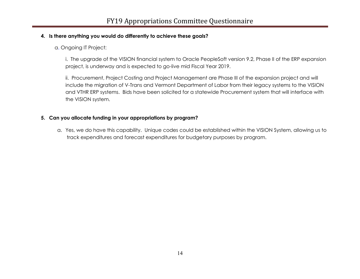#### **4. Is there anything you would do differently to achieve these goals?**

a. Ongoing IT Project:

i. The upgrade of the VISION financial system to Oracle PeopleSoft version 9.2, Phase II of the ERP expansion project, is underway and is expected to go-live mid Fiscal Year 2019.

ii. Procurement, Project Costing and Project Management are Phase III of the expansion project and will include the migration of V-Trans and Vermont Department of Labor from their legacy systems to the VISION and VTHR ERP systems. Bids have been solicited for a statewide Procurement system that will interface with the VISION system.

#### **5. Can you allocate funding in your appropriations by program?**

a. Yes, we do have this capability. Unique codes could be established within the VISION System, allowing us to track expenditures and forecast expenditures for budgetary purposes by program.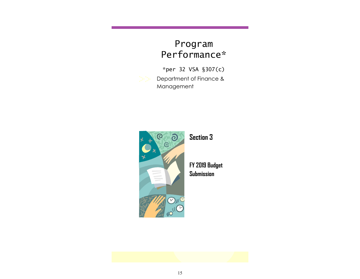# Program Performance\*

Department of Finance & Management \*per 32 VSA §307(c)



**Section 3**

**FY 2019 Budget Submission**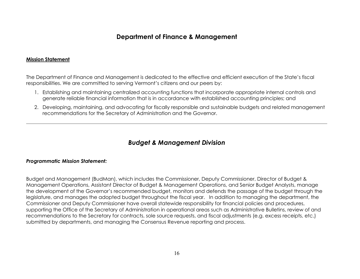## **Department of Finance & Management**

#### **Mission Statement**

The Department of Finance and Management is dedicated to the effective and efficient execution of the State's fiscal responsibilities. We are committed to serving Vermont's citizens and our peers by:

- 1. Establishing and maintaining centralized accounting functions that incorporate appropriate internal controls and generate reliable financial information that is in accordance with established accounting principles; and
- 2. Developing, maintaining, and advocating for fiscally responsible and sustainable budgets and related management recommendations for the Secretary of Administration and the Governor.

## *Budget & Management Division*

#### *Programmatic Mission Statement:*

Budget and Management (BudMan), which includes the Commissioner, Deputy Commissioner, Director of Budget & Management Operations, Assistant Director of Budget & Management Operations, and Senior Budget Analysts, manage the development of the Governor's recommended budget, monitors and defends the passage of the budget through the legislature, and manages the adopted budget throughout the fiscal year. In addition to managing the department, the Commissioner and Deputy Commissioner have overall statewide responsibility for financial policies and procedures, supporting the Office of the Secretary of Administration in operational areas such as Administrative Bulletins, review of and recommendations to the Secretary for contracts, sole source requests, and fiscal adjustments (e.g. excess receipts, etc.) submitted by departments, and managing the Consensus Revenue reporting and process.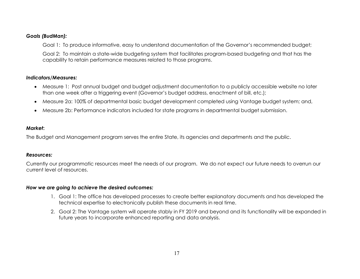#### *Goals (BudMan):*

Goal 1: To produce informative, easy to understand documentation of the Governor's recommended budget;

Goal 2: To maintain a state-wide budgeting system that facilitates program-based budgeting and that has the capability to retain performance measures related to those programs.

#### *Indicators/Measures:*

- Measure 1: Post annual budget and budget adjustment documentation to a publicly accessible website no later than one week after a triggering event (Governor's budget address, enactment of bill, etc.);
- Measure 2a: 100% of departmental basic budget development completed using Vantage budget system; and,
- Measure 2b: Performance indicators included for state programs in departmental budget submission.

#### *Market***:**

The Budget and Management program serves the entire State, its agencies and departments and the public.

#### *Resources:*

Currently our programmatic resources meet the needs of our program. We do not expect our future needs to overrun our current level of resources.

#### *How we are going to achieve the desired outcomes:*

- 1. Goal 1: The office has developed processes to create better explanatory documents and has developed the technical expertise to electronically publish these documents in real time.
- 2. Goal 2: The Vantage system will operate stably in FY 2019 and beyond and its functionality will be expanded in future years to incorporate enhanced reporting and data analysis.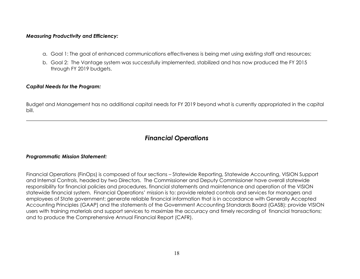#### *Measuring Productivity and Efficiency:*

- a. Goal 1: The goal of enhanced communications effectiveness is being met using existing staff and resources;
- b. Goal 2: The Vantage system was successfully implemented, stabilized and has now produced the FY 2015 through FY 2019 budgets.

#### *Capital Needs for the Program:*

Budget and Management has no additional capital needs for FY 2019 beyond what is currently appropriated in the capital bill.

## *Financial Operations*

#### *Programmatic Mission Statement:*

Financial Operations (FinOps) is composed of four sections – Statewide Reporting, Statewide Accounting, VISION Support and Internal Controls, headed by two Directors. The Commissioner and Deputy Commissioner have overall statewide responsibility for financial policies and procedures, financial statements and maintenance and operation of the VISION statewide financial system. Financial Operations' mission is to: provide related controls and services for managers and employees of State government; generate reliable financial information that is in accordance with Generally Accepted Accounting Principles (GAAP) and the statements of the Government Accounting Standards Board (GASB); provide VISION users with training materials and support services to maximize the accuracy and timely recording of financial transactions; and to produce the Comprehensive Annual Financial Report (CAFR).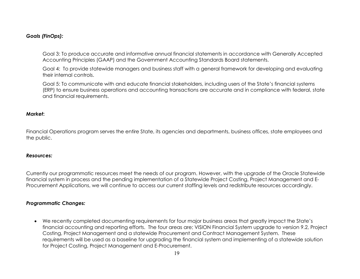#### *Goals (FinOps):*

Goal 3: To produce accurate and informative annual financial statements in accordance with Generally Accepted Accounting Principles (GAAP) and the Government Accounting Standards Board statements.

Goal 4: To provide statewide managers and business staff with a general framework for developing and evaluating their internal controls.

Goal 5: To communicate with and educate financial stakeholders, including users of the State's financial systems (ERP) to ensure business operations and accounting transactions are accurate and in compliance with federal, state and financial requirements.

#### *Market***:**

Financial Operations program serves the entire State, its agencies and departments, business offices, state employees and the public.

#### *Resources:*

Currently our programmatic resources meet the needs of our program. However, with the upgrade of the Oracle Statewide financial system in process and the pending implementation of a Statewide Project Costing, Project Management and E-Procurement Applications, we will continue to access our current staffing levels and redistribute resources accordingly.

#### *Programmatic Changes:*

• We recently completed documenting requirements for four major business areas that greatly impact the State's financial accounting and reporting efforts. The four areas are; VISION Financial System upgrade to version 9.2, Project Costing, Project Management and a statewide Procurement and Contract Management System. These requirements will be used as a baseline for upgrading the financial system and implementing of a statewide solution for Project Costing, Project Management and E-Procurement.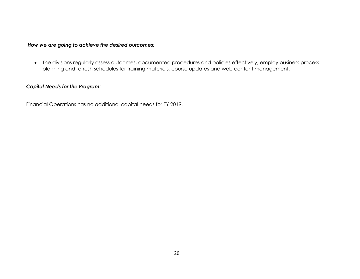#### *How we are going to achieve the desired outcomes:*

• The divisions regularly assess outcomes, documented procedures and policies effectively, employ business process planning and refresh schedules for training materials, course updates and web content management.

#### *Capital Needs for the Program:*

Financial Operations has no additional capital needs for FY 2019.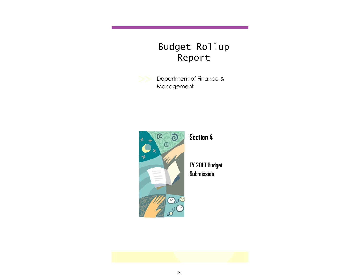# Budget Rollup Report

Department of Finance & Management



**Section 4**

**FY 2019 Budget Submission**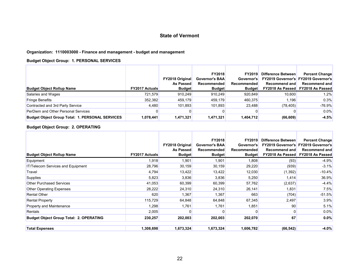#### **Organization: 1110003000 - Finance and management - budget and management**

#### **Budget Object Group: 1. PERSONAL SERVICES**

| <b>Budget Object Rollup Name</b>                       | <b>FY2017 Actuals</b> | <b>FY2018 Original</b><br><b>As Passed</b><br><b>Budget</b> | <b>FY2018</b><br><b>Governor's BAA</b><br>Recommended<br><b>Budget</b> | <b>FY2019</b><br>Governor's<br>Recommended<br><b>Budget</b> | Difference Between<br>Recommend and | <b>Percent Change</b><br><b>FY2019 Governor's FY2019 Governor's</b><br>Recommend and<br>FY2018 As Passed FY2018 As Passed |
|--------------------------------------------------------|-----------------------|-------------------------------------------------------------|------------------------------------------------------------------------|-------------------------------------------------------------|-------------------------------------|---------------------------------------------------------------------------------------------------------------------------|
| Salaries and Wages                                     | 721,579               | 910.249                                                     | 910,249                                                                | 920,849                                                     | 10,600                              | 1.2%                                                                                                                      |
| <b>Fringe Benefits</b>                                 | 352,382               | 459,179                                                     | 459,179                                                                | 460,375                                                     | 1.196                               | 0.3%                                                                                                                      |
| Contracted and 3rd Party Service                       | 4,480                 | 101.893                                                     | 101,893                                                                | 23.488                                                      | (78, 405)                           | $-76.9%$                                                                                                                  |
| PerDiem and Other Personal Services                    |                       |                                                             |                                                                        |                                                             |                                     | $0.0\%$                                                                                                                   |
| <b>Budget Object Group Total: 1. PERSONAL SERVICES</b> | 1,078,441             | 1,471,321                                                   | 1,471,321                                                              | 1,404,712                                                   | (66, 609)                           | $-4.5%$                                                                                                                   |

#### **Budget Object Group: 2. OPERATING**

| <b>Budget Object Rollup Name</b>               | <b>FY2017 Actuals</b> | <b>FY2018 Original</b><br><b>As Passed</b><br><b>Budget</b> | <b>FY2018</b><br><b>Governor's BAA</b><br>Recommended<br><b>Budget</b> | <b>FY2019</b><br>Governor's<br>Recommended<br><b>Budget</b> | Difference Between<br><b>Recommend and</b><br><b>FY2018 As Passed</b> | <b>Percent Change</b><br><b>FY2019 Governor's FY2019 Governor's</b><br>Recommend and<br>FY2018 As Passed |
|------------------------------------------------|-----------------------|-------------------------------------------------------------|------------------------------------------------------------------------|-------------------------------------------------------------|-----------------------------------------------------------------------|----------------------------------------------------------------------------------------------------------|
| Equipment                                      | 1,918                 | 1,901                                                       | 1,901                                                                  | 1,808                                                       | (93)                                                                  | $-4.9%$                                                                                                  |
| <b>IT/Telecom Services and Equipment</b>       | 28,796                | 30,159                                                      | 30,159                                                                 | 29,220                                                      | (939)                                                                 | $-3.1%$                                                                                                  |
| Travel                                         | 4,794                 | 13,422                                                      | 13,422                                                                 | 12,030                                                      | (1, 392)                                                              | $-10.4%$                                                                                                 |
| Supplies                                       | 5,823                 | 3,836                                                       | 3,836                                                                  | 5,250                                                       | 1,414                                                                 | 36.9%                                                                                                    |
| <b>Other Purchased Services</b>                | 41,053                | 60,399                                                      | 60,399                                                                 | 57,762                                                      | (2,637)                                                               | $-4.4%$                                                                                                  |
| <b>Other Operating Expenses</b>                | 28,222                | 24,310                                                      | 24,310                                                                 | 26,141                                                      | 1,831                                                                 | 7.5%                                                                                                     |
| <b>Rental Other</b>                            | 620                   | 1,367                                                       | 1,367                                                                  | 663                                                         | (704)                                                                 | $-51.5%$                                                                                                 |
| <b>Rental Property</b>                         | 115,729               | 64,848                                                      | 64,848                                                                 | 67,345                                                      | 2,497                                                                 | 3.9%                                                                                                     |
| Property and Maintenance                       | 1,298                 | 1,761                                                       | 1,761                                                                  | 1,851                                                       | 90                                                                    | 5.1%                                                                                                     |
| Rentals                                        | 2,005                 |                                                             | 0                                                                      | 0                                                           | 0                                                                     | 0.0%                                                                                                     |
| <b>Budget Object Group Total: 2. OPERATING</b> | 230,257               | 202,003                                                     | 202,003                                                                | 202,070                                                     | 67                                                                    | $0.0\%$                                                                                                  |
| <b>Total Expenses</b>                          | 1,308,698             | 1,673,324                                                   | 1,673,324                                                              | 1,606,782                                                   | (66, 542)                                                             | $-4.0%$                                                                                                  |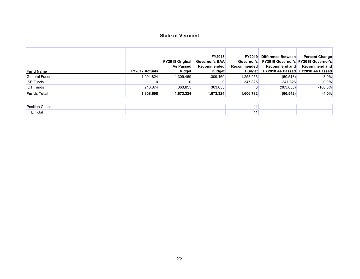| <b>Fund Name</b>     | <b>FY2017 Actuals</b> | <b>FY2018 Original</b><br><b>As Passed</b><br><b>Budget</b> | <b>FY2018</b><br><b>Governor's BAA</b><br>Recommended<br><b>Budget</b> | <b>FY2019</b><br>Governor's<br>Recommended<br><b>Budget</b> | Difference Between<br><b>FY2019 Governor's FY2019 Governor's</b><br>Recommend and | <b>Percent Change</b><br>Recommend and<br><b>FY2018 As Passed FY2018 As Passed</b> |
|----------------------|-----------------------|-------------------------------------------------------------|------------------------------------------------------------------------|-------------------------------------------------------------|-----------------------------------------------------------------------------------|------------------------------------------------------------------------------------|
| <b>General Funds</b> | 1.091.824             | 1,309,469                                                   | 1,309,469                                                              | 1,258,956                                                   | (50, 513)                                                                         | $-3.9%$                                                                            |
| <b>ISF Funds</b>     |                       |                                                             |                                                                        | 347.826                                                     | 347.826                                                                           | $0.0\%$                                                                            |
| <b>IDT</b> Funds     | 216.874               | 363,855                                                     | 363,855                                                                |                                                             | (363, 855)                                                                        | $-100.0\%$                                                                         |
| <b>Funds Total</b>   | 1,308,698             | 1,673,324                                                   | 1,673,324                                                              | 1,606,782                                                   | (66, 542)                                                                         | $-4.0%$                                                                            |

| <b>Position Count</b> |  |  |  |
|-----------------------|--|--|--|
| <b>FTE Total</b>      |  |  |  |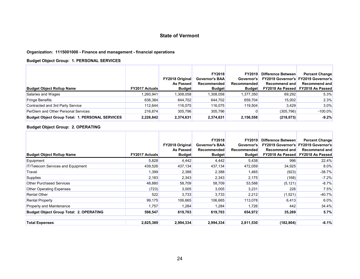#### **Organization: 1115001000 - Finance and management - financial operations**

#### **Budget Object Group: 1. PERSONAL SERVICES**

| <b>Budget Object Rollup Name</b>                       | <b>FY2017 Actuals</b> | <b>FY2018 Original</b><br><b>As Passed</b><br><b>Budget</b> | <b>FY2018</b><br><b>Governor's BAA</b><br>Recommended<br><b>Budget</b> | <b>FY2019</b><br>Governor's<br>Recommended<br><b>Budget</b> | Difference Between<br>Recommend and | <b>Percent Change</b><br><b>FY2019 Governor's FY2019 Governor's</b><br>Recommend and<br><b>FY2018 As Passed FY2018 As Passed</b> |
|--------------------------------------------------------|-----------------------|-------------------------------------------------------------|------------------------------------------------------------------------|-------------------------------------------------------------|-------------------------------------|----------------------------------------------------------------------------------------------------------------------------------|
| Salaries and Wages                                     | .260,941              | 1,308,058                                                   | 1,308,058                                                              | 1,377,350                                                   | 69,292                              | 5.3%                                                                                                                             |
| <b>Fringe Benefits</b>                                 | 636,384               | 644,702                                                     | 644,702                                                                | 659,704                                                     | 15,002                              | 2.3%                                                                                                                             |
| Contracted and 3rd Party Service                       | 112.644               | 116,075                                                     | 116,075                                                                | 119,504                                                     | 3,429                               | 3.0%                                                                                                                             |
| PerDiem and Other Personal Services                    | 216,874               | 305,796                                                     | 305,796                                                                |                                                             | (305, 796)                          | $-100.0\%$                                                                                                                       |
| <b>Budget Object Group Total: 1. PERSONAL SERVICES</b> | 2,226,842             | 2,374,631                                                   | 2,374,631                                                              | 2,156,558                                                   | (218, 073)                          | $-9.2%$                                                                                                                          |

#### **Budget Object Group: 2. OPERATING**

| <b>Budget Object Rollup Name</b>               | <b>FY2017 Actuals</b> | <b>FY2018 Original</b><br><b>As Passed</b><br><b>Budget</b> | <b>FY2018</b><br><b>Governor's BAA</b><br><b>Recommended</b><br><b>Budget</b> | <b>FY2019</b><br>Governor's<br>Recommended<br><b>Budget</b> | Difference Between<br><b>Recommend and</b><br><b>FY2018 As Passed</b> | <b>Percent Change</b><br><b>FY2019 Governor's FY2019 Governor's</b><br><b>Recommend and</b><br>FY2018 As Passed |
|------------------------------------------------|-----------------------|-------------------------------------------------------------|-------------------------------------------------------------------------------|-------------------------------------------------------------|-----------------------------------------------------------------------|-----------------------------------------------------------------------------------------------------------------|
| Equipment                                      | 5,828                 | 4,442                                                       | 4.442                                                                         | 5,438                                                       | 996                                                                   | 22.4%                                                                                                           |
| IT/Telecom Services and Equipment              | 439,526               | 437,134                                                     | 437,134                                                                       | 472,059                                                     | 34,925                                                                | 8.0%                                                                                                            |
| Travel                                         | 1,399                 | 2,388                                                       | 2,388                                                                         | 1,465                                                       | (923)                                                                 | $-38.7%$                                                                                                        |
| <b>Supplies</b>                                | 2,183                 | 2,343                                                       | 2,343                                                                         | 2,175                                                       | (168)                                                                 | $-7.2%$                                                                                                         |
| <b>Other Purchased Services</b>                | 48,880                | 58,709                                                      | 58,709                                                                        | 53,588                                                      | (5, 121)                                                              | $-8.7%$                                                                                                         |
| <b>Other Operating Expenses</b>                | (723)                 | 3,005                                                       | 3,005                                                                         | 3,231                                                       | 226                                                                   | 7.5%                                                                                                            |
| <b>Rental Other</b>                            | 522                   | 3,733                                                       | 3,733                                                                         | 2,212                                                       | (1,521)                                                               | $-40.7%$                                                                                                        |
| <b>Rental Property</b>                         | 99,175                | 106,665                                                     | 106,665                                                                       | 113,078                                                     | 6,413                                                                 | 6.0%                                                                                                            |
| Property and Maintenance                       | 1,757                 | 1,284                                                       | 1,284                                                                         | 1,726                                                       | 442                                                                   | 34.4%                                                                                                           |
| <b>Budget Object Group Total: 2. OPERATING</b> | 598,547               | 619,703                                                     | 619,703                                                                       | 654,972                                                     | 35,269                                                                | 5.7%                                                                                                            |
| <b>Total Expenses</b>                          | 2,825,389             | 2,994,334                                                   | 2,994,334                                                                     | 2,811,530                                                   | (182, 804)                                                            | $-6.1%$                                                                                                         |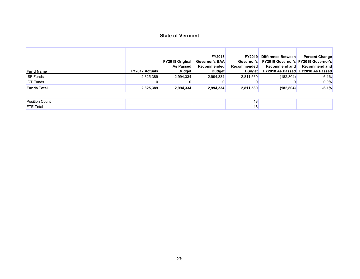|                    |                       | <b>FY2018 Original</b> | <b>FY2018</b><br><b>Governor's BAA</b> | <b>FY2019</b><br>Governor's | Difference Between<br><b>FY2019 Governor's FY2019 Governor's</b> | <b>Percent Change</b>                    |
|--------------------|-----------------------|------------------------|----------------------------------------|-----------------------------|------------------------------------------------------------------|------------------------------------------|
|                    |                       | <b>As Passed</b>       | Recommended                            | <b>Recommended</b>          | Recommend and                                                    | Recommend and                            |
| <b>Fund Name</b>   | <b>FY2017 Actuals</b> | <b>Budget</b>          | <b>Budget</b>                          | <b>Budget</b>               |                                                                  | <b>FY2018 As Passed FY2018 As Passed</b> |
| <b>ISF Funds</b>   | 2.825.389             | 2.994.334              | 2,994,334                              | 2.811.530                   | (182, 804)                                                       | $-6.1%$                                  |
| <b>IDT</b> Funds   |                       |                        |                                        |                             |                                                                  | $0.0\%$                                  |
| <b>Funds Total</b> | 2,825,389             | 2,994,334              | 2,994,334                              | 2,811,530                   | (182, 804)                                                       | $-6.1%$                                  |

| <b>Position Count</b> |  | . . |  |
|-----------------------|--|-----|--|
| <b>FTE Total</b>      |  | טו  |  |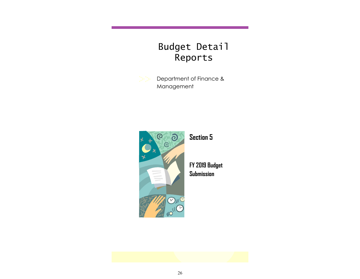# Budget Detail Reports

Department of Finance & Management



**Section 5**

**FY 2019 Budget Submission**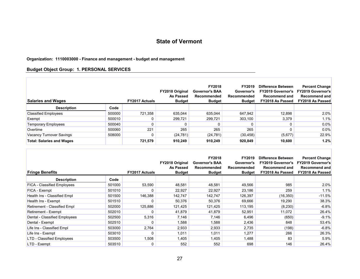#### **Organization: 1110003000 - Finance and management - budget and management**

#### **Budget Object Group: 1. PERSONAL SERVICES**

П

| <b>Salaries and Wages</b>        |        | <b>FY2017 Actuals</b> | <b>FY2018 Original</b><br>As Passed<br><b>Budget</b> | <b>FY2018</b><br><b>Governor's BAA</b><br>Recommended<br><b>Budget</b> | <b>FY2019</b><br>Governor's<br>Recommended<br><b>Budget</b> | Difference Between<br><b>FY2019 Governor's</b><br><b>Recommend and</b><br>FY2018 As Passed | <b>Percent Change</b><br><b>FY2019 Governor's</b><br><b>Recommend and</b><br>FY2018 As Passed |
|----------------------------------|--------|-----------------------|------------------------------------------------------|------------------------------------------------------------------------|-------------------------------------------------------------|--------------------------------------------------------------------------------------------|-----------------------------------------------------------------------------------------------|
| <b>Description</b>               | Code   |                       |                                                      |                                                                        |                                                             |                                                                                            |                                                                                               |
| <b>Classified Employees</b>      | 500000 | 721,358               | 635,044                                              | 635.044                                                                | 647,942                                                     | 12,898                                                                                     | 2.0%                                                                                          |
| Exempt                           | 500010 |                       | 299,721                                              | 299,721                                                                | 303,100                                                     | 3,379                                                                                      | 1.1%                                                                                          |
| <b>Temporary Employees</b>       | 500040 |                       |                                                      |                                                                        |                                                             |                                                                                            | 0.0%                                                                                          |
| Overtime                         | 500060 | 221                   | 265                                                  | 265                                                                    | 265                                                         |                                                                                            | 0.0%                                                                                          |
| Vacancy Turnover Savings         | 508000 |                       | (24, 781)                                            | (24, 781)                                                              | (30, 458)                                                   | (5,677)                                                                                    | 22.9%                                                                                         |
| <b>Total: Salaries and Wages</b> |        | 721,579               | 910.249                                              | 910.249                                                                | 920.849                                                     | 10,600                                                                                     | 1.2%                                                                                          |

| <b>Fringe Benefits</b>        |        | <b>FY2017 Actuals</b> | FY2018 Original<br>As Passed<br><b>Budget</b> | FY2018<br><b>Governor's BAA</b><br><b>Recommended</b><br><b>Budget</b> | FY2019<br>Governor's<br>Recommended<br><b>Budget</b> | Difference Between<br><b>FY2019 Governor's</b><br><b>Recommend and</b><br>FY2018 As Passed | <b>Percent Change</b><br><b>FY2019 Governor's</b><br><b>Recommend and</b><br><b>FY2018 As Passed</b> |
|-------------------------------|--------|-----------------------|-----------------------------------------------|------------------------------------------------------------------------|------------------------------------------------------|--------------------------------------------------------------------------------------------|------------------------------------------------------------------------------------------------------|
| <b>Description</b>            | Code   |                       |                                               |                                                                        |                                                      |                                                                                            |                                                                                                      |
| FICA - Classified Employees   | 501000 | 53,590                | 48,581                                        | 48,581                                                                 | 49,566                                               | 985                                                                                        | 2.0%                                                                                                 |
| FICA - Exempt                 | 501010 | 0                     | 22,927                                        | 22,927                                                                 | 23,186                                               | 259                                                                                        | 1.1%                                                                                                 |
| Health Ins - Classified Empl  | 501500 | 146,388               | 142,747                                       | 142,747                                                                | 126,397                                              | (16, 350)                                                                                  | $-11.5%$                                                                                             |
| Health Ins - Exempt           | 501510 | 0                     | 50,376                                        | 50,376                                                                 | 69,666                                               | 19,290                                                                                     | 38.3%                                                                                                |
| Retirement - Classified Empl  | 502000 | 125,886               | 121,425                                       | 121,425                                                                | 113,195                                              | (8, 230)                                                                                   | $-6.8%$                                                                                              |
| Retirement - Exempt           | 502010 | 0                     | 41,879                                        | 41,879                                                                 | 52,951                                               | 11,072                                                                                     | 26.4%                                                                                                |
| Dental - Classified Employees | 502500 | 5,316                 | 7,146                                         | 7,146                                                                  | 6,496                                                | (650)                                                                                      | $-9.1%$                                                                                              |
| Dental - Exempt               | 502510 | 0                     | 1,588                                         | 1,588                                                                  | 2,436                                                | 848                                                                                        | 53.4%                                                                                                |
| Life Ins - Classified Empl    | 503000 | 2,764                 | 2,933                                         | 2,933                                                                  | 2,735                                                | (198)                                                                                      | $-6.8%$                                                                                              |
| Life Ins - Exempt             | 503010 | 0                     | 1,011                                         | 1,011                                                                  | 1,277                                                | 266                                                                                        | 26.3%                                                                                                |
| LTD - Classified Employees    | 503500 | 1,508                 | 1,405                                         | 1,405                                                                  | 1,488                                                | 83                                                                                         | 5.9%                                                                                                 |
| LTD - Exempt                  | 503510 | 0                     | 552                                           | 552                                                                    | 698                                                  | 146                                                                                        | 26.4%                                                                                                |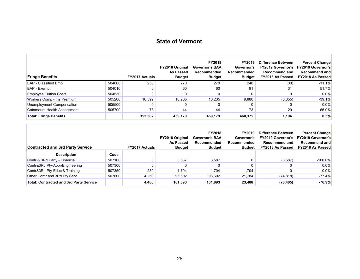Г

| <b>Fringe Benefits</b>        |        | <b>FY2017 Actuals</b> | <b>FY2018 Original</b><br>As Passed<br><b>Budget</b> | FY2018<br><b>Governor's BAA</b><br>Recommended<br><b>Budget</b> | <b>FY2019</b><br>Governor's<br>Recommended<br><b>Budget</b> | Difference Between<br><b>FY2019 Governor's</b><br><b>Recommend and</b><br>FY2018 As Passed | <b>Percent Change</b><br><b>FY2019 Governor's</b><br>Recommend and<br><b>FY2018 As Passed</b> |
|-------------------------------|--------|-----------------------|------------------------------------------------------|-----------------------------------------------------------------|-------------------------------------------------------------|--------------------------------------------------------------------------------------------|-----------------------------------------------------------------------------------------------|
| <b>EAP</b> - Classified Empl  | 504000 | 258                   | 270                                                  | 270                                                             | 240                                                         | (30)                                                                                       | $-11.1%$                                                                                      |
| EAP - Exempt                  | 504010 |                       | 60                                                   | 60                                                              | 91                                                          | 31                                                                                         | 51.7%                                                                                         |
| <b>Employee Tuition Costs</b> | 504530 |                       |                                                      |                                                                 | 0                                                           |                                                                                            | $0.0\%$                                                                                       |
| Workers Comp - Ins Premium    | 505200 | 16.599                | 16.235                                               | 16.235                                                          | 9,880                                                       | (6,355)                                                                                    | $-39.1%$                                                                                      |
| Unemployment Compensation     | 505500 |                       |                                                      |                                                                 |                                                             |                                                                                            | 0.0%                                                                                          |
| Catamount Health Assessment   | 505700 | 73                    | 44                                                   | 44                                                              | 73                                                          | 29                                                                                         | 65.9%                                                                                         |
| <b>Total: Fringe Benefits</b> |        | 352,382               | 459,179                                              | 459,179                                                         | 460,375                                                     | 1,196                                                                                      | 0.3%                                                                                          |

| <b>Contracted and 3rd Party Service</b>        |        | <b>FY2017 Actuals</b> | <b>FY2018 Original</b><br>As Passed<br><b>Budget</b> | <b>FY2018</b><br><b>Governor's BAA</b><br>Recommended<br><b>Budget</b> | FY2019<br>Governor's<br>Recommended<br><b>Budget</b> | Difference Between<br><b>FY2019 Governor's</b><br><b>Recommend and</b><br>FY2018 As Passed | <b>Percent Change</b><br><b>FY2019 Governor's</b><br>Recommend and<br><b>FY2018 As Passed</b> |
|------------------------------------------------|--------|-----------------------|------------------------------------------------------|------------------------------------------------------------------------|------------------------------------------------------|--------------------------------------------------------------------------------------------|-----------------------------------------------------------------------------------------------|
| <b>Description</b>                             | Code   |                       |                                                      |                                                                        |                                                      |                                                                                            |                                                                                               |
| Contr & 3Rd Party - Financial                  | 507100 |                       | 3.587                                                | 3.587                                                                  |                                                      | (3,587)                                                                                    | $-100.0\%$                                                                                    |
| Contr&3Rd Pty-Appr/Engineering                 | 507300 |                       |                                                      |                                                                        |                                                      |                                                                                            | $0.0\%$                                                                                       |
| Contr&3Rd Pty-Educ & Training                  | 507350 | 230                   | 1.704                                                | 1.704                                                                  | 1.704                                                |                                                                                            | 0.0%                                                                                          |
| Other Contr and 3Rd Pty Serv                   | 507600 | 4.250                 | 96,602                                               | 96.602                                                                 | 21,784                                               | (74, 818)                                                                                  | $-77.4%$                                                                                      |
| <b>Total: Contracted and 3rd Party Service</b> |        | 4.480                 | 101,893                                              | 101.893                                                                | 23,488                                               | (78, 405)                                                                                  | $-76.9%$                                                                                      |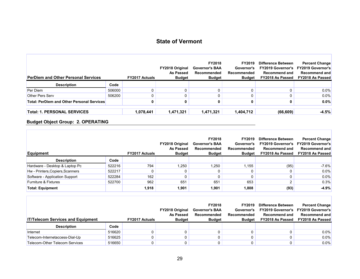| <b>PerDiem and Other Personal Services</b>        |        | <b>FY2017 Actuals</b> | <b>FY2018 Original</b><br>As Passed<br><b>Budget</b> | <b>FY2018</b><br><b>Governor's BAA</b><br>Recommended<br><b>Budget</b> | <b>FY2019</b><br>Governor's<br>Recommended<br><b>Budget</b> | <b>Difference Between</b><br><b>FY2019 Governor's</b><br><b>Recommend and</b><br>FY2018 As Passed | <b>Percent Change</b><br><b>FY2019 Governor's</b><br>Recommend and<br><b>FY2018 As Passed</b> |
|---------------------------------------------------|--------|-----------------------|------------------------------------------------------|------------------------------------------------------------------------|-------------------------------------------------------------|---------------------------------------------------------------------------------------------------|-----------------------------------------------------------------------------------------------|
| <b>Description</b>                                | Code   |                       |                                                      |                                                                        |                                                             |                                                                                                   |                                                                                               |
| Per Diem                                          | 506000 |                       |                                                      |                                                                        | 0.                                                          |                                                                                                   | 0.0%                                                                                          |
| <b>Other Pers Serv</b>                            | 506200 |                       |                                                      |                                                                        | 0                                                           |                                                                                                   | 0.0%                                                                                          |
| <b>Total: PerDiem and Other Personal Services</b> |        |                       |                                                      |                                                                        |                                                             |                                                                                                   | $0.0\%$                                                                                       |
| <b>Total: 1. PERSONAL SERVICES</b>                |        | 1,078,441             | 1,471,321                                            | 1,471,321                                                              | 1,404,712                                                   | (66, 609)                                                                                         | $-4.5%$                                                                                       |

#### **Budget Object Group: 2. OPERATING**

л

| <b>Equipment</b>                 |        | <b>FY2017 Actuals</b> | <b>FY2018 Original</b><br>As Passed<br><b>Budget</b> | <b>FY2018</b><br><b>Governor's BAA</b><br>Recommended<br><b>Budget</b> | FY2019<br>Governor's<br>Recommended<br><b>Budget</b> | Difference Between<br><b>FY2019 Governor's</b><br>Recommend and<br>FY2018 As Passed | <b>Percent Change</b><br><b>FY2019 Governor's</b><br><b>Recommend and</b><br><b>FY2018 As Passed</b> |
|----------------------------------|--------|-----------------------|------------------------------------------------------|------------------------------------------------------------------------|------------------------------------------------------|-------------------------------------------------------------------------------------|------------------------------------------------------------------------------------------------------|
| <b>Description</b>               | Code   |                       |                                                      |                                                                        |                                                      |                                                                                     |                                                                                                      |
| Hardware - Desktop & Laptop Pc   | 522216 | 794                   | 1,250                                                | ,250                                                                   | 1.155                                                | (95)                                                                                | $-7.6%$                                                                                              |
| Hw - Printers, Copiers, Scanners | 522217 |                       |                                                      |                                                                        | 0                                                    |                                                                                     | 0.0%                                                                                                 |
| Software - Application Support   | 522284 | 162                   |                                                      |                                                                        | 0                                                    |                                                                                     | 0.0%                                                                                                 |
| <b>Furniture &amp; Fixtures</b>  | 522700 | 962                   | 651                                                  | 651                                                                    | 653                                                  | $\overline{2}$                                                                      | 0.3%                                                                                                 |
| <b>Total: Equipment</b>          |        | 1,918                 | 1,901                                                | 1,901                                                                  | 1,808                                                | (93)                                                                                | $-4.9%$                                                                                              |

| <b>IT/Telecom Services and Equipment</b> |        | <b>FY2017 Actuals</b> | <b>FY2018 Original</b><br>As Passed<br><b>Budget</b> | <b>FY2018</b><br><b>Governor's BAA</b><br>Recommended<br><b>Budget</b> | <b>FY2019</b><br>Governor's<br>Recommended<br><b>Budget</b> | Difference Between<br><b>Recommend and</b><br>FY2018 As Passed | <b>Percent Change</b><br><b>FY2019 Governor's FY2019 Governor's</b><br>Recommend and<br><b>FY2018 As Passed</b> |
|------------------------------------------|--------|-----------------------|------------------------------------------------------|------------------------------------------------------------------------|-------------------------------------------------------------|----------------------------------------------------------------|-----------------------------------------------------------------------------------------------------------------|
| <b>Description</b>                       | Code   |                       |                                                      |                                                                        |                                                             |                                                                |                                                                                                                 |
| Internet                                 | 516620 |                       |                                                      |                                                                        |                                                             |                                                                | $0.0\%$                                                                                                         |
| Telecom-Internetaccess-Dial-Up           | 516625 |                       |                                                      |                                                                        |                                                             |                                                                | 0.0%                                                                                                            |
| Telecom-Other Telecom Services           | 516650 |                       |                                                      |                                                                        |                                                             |                                                                | $0.0\%$                                                                                                         |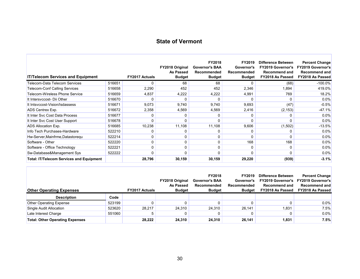| <b>IT/Telecom Services and Equipment</b>        |        | <b>FY2017 Actuals</b> | FY2018 Original<br>As Passed<br><b>Budget</b> | FY2018<br><b>Governor's BAA</b><br>Recommended<br><b>Budget</b> | FY2019<br>Governor's<br>Recommended<br><b>Budget</b> | <b>Difference Between</b><br><b>FY2019 Governor's</b><br><b>Recommend and</b><br>FY2018 As Passed | <b>Percent Change</b><br><b>FY2019 Governor's</b><br><b>Recommend and</b><br>FY2018 As Passed |
|-------------------------------------------------|--------|-----------------------|-----------------------------------------------|-----------------------------------------------------------------|------------------------------------------------------|---------------------------------------------------------------------------------------------------|-----------------------------------------------------------------------------------------------|
| Telecom-Data Telecom Services                   | 516651 | $\Omega$              | 68                                            | 68                                                              | $\Omega$                                             | (68)                                                                                              | $-100.0\%$                                                                                    |
| <b>Telecom-Conf Calling Services</b>            | 516658 | 2,290                 | 452                                           | 452                                                             | 2,346                                                | 1,894                                                                                             | 419.0%                                                                                        |
| Telecom-Wireless Phone Service                  | 516659 | 4,837                 | 4,222                                         | 4,222                                                           | 4,991                                                | 769                                                                                               | 18.2%                                                                                         |
| It Intersyccost- Dii Other                      | 516670 |                       |                                               |                                                                 | $\Omega$                                             | $\Omega$                                                                                          | 0.0%                                                                                          |
| It Intsyccost-Vision/Isdassess                  | 516671 | 9,073                 | 9,740                                         | 9,740                                                           | 9,693                                                | (47)                                                                                              | $-0.5%$                                                                                       |
| <b>ADS Centrex Exp.</b>                         | 516672 | 2,358                 | 4,569                                         | 4,569                                                           | 2,416                                                | (2, 153)                                                                                          | $-47.1%$                                                                                      |
| It Inter Svc Cost Data Process                  | 516677 |                       |                                               |                                                                 |                                                      |                                                                                                   | 0.0%                                                                                          |
| It Inter Svc Cost User Support                  | 516678 |                       |                                               |                                                                 |                                                      |                                                                                                   | 0.0%                                                                                          |
| ADS Allocation Exp.                             | 516685 | 10,238                | 11,108                                        | 11,108                                                          | 9,606                                                | (1,502)                                                                                           | $-13.5%$                                                                                      |
| Info Tech Purchases-Hardware                    | 522210 |                       | 0                                             | 0                                                               | 0                                                    |                                                                                                   | $0.0\%$                                                                                       |
| Hw-Server, Mainfrme, Datastoregu                | 522214 | 0                     | 0                                             | $\Omega$                                                        | $\Omega$                                             | $\Omega$                                                                                          | 0.0%                                                                                          |
| Software - Other                                | 522220 | 0                     | 0                                             | 0                                                               | 168                                                  | 168                                                                                               | 0.0%                                                                                          |
| Software - Office Technology                    | 522221 | 0                     | 0                                             | 0                                                               | $\Omega$                                             | $\Omega$                                                                                          | 0.0%                                                                                          |
| Sw-Database&Management Sys                      | 522222 | 0                     | 0                                             | $\Omega$                                                        | 0                                                    | $\Omega$                                                                                          | 0.0%                                                                                          |
| <b>Total: IT/Telecom Services and Equipment</b> |        | 28,796                | 30,159                                        | 30,159                                                          | 29,220                                               | (939)                                                                                             | $-3.1%$                                                                                       |

| <b>Other Operating Expenses</b>        |        | <b>FY2017 Actuals</b> | <b>FY2018 Original</b><br>As Passed<br><b>Budget</b> | FY2018<br><b>Governor's BAA</b><br>Recommended<br><b>Budget</b> | <b>FY2019</b><br>Governor's<br>Recommended<br><b>Budget</b> | <b>Difference Between</b><br><b>FY2019 Governor's</b><br><b>Recommend and</b><br>FY2018 As Passed | <b>Percent Change</b><br><b>FY2019 Governor's</b><br>Recommend and<br><b>FY2018 As Passed</b> |
|----------------------------------------|--------|-----------------------|------------------------------------------------------|-----------------------------------------------------------------|-------------------------------------------------------------|---------------------------------------------------------------------------------------------------|-----------------------------------------------------------------------------------------------|
| <b>Description</b>                     | Code   |                       |                                                      |                                                                 |                                                             |                                                                                                   |                                                                                               |
| <b>Other Operating Expense</b>         | 523199 |                       |                                                      |                                                                 |                                                             |                                                                                                   | $0.0\%$                                                                                       |
| Single Audit Allocation                | 523620 | 28.217                | 24,310                                               | 24.310                                                          | 26.141                                                      | 1,831                                                                                             | 7.5%                                                                                          |
| Late Interest Charge                   | 551060 | b                     |                                                      |                                                                 |                                                             |                                                                                                   | 0.0%                                                                                          |
| <b>Total: Other Operating Expenses</b> |        | 28.222                | 24.310                                               | 24.310                                                          | 26.141                                                      | 1,831                                                                                             | 7.5%                                                                                          |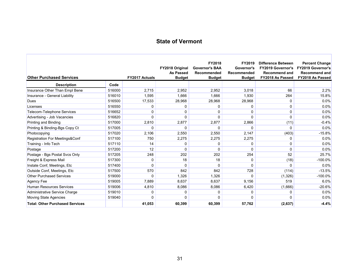۰

п

| <b>Other Purchased Services</b>        |        | <b>FY2017 Actuals</b> | FY2018 Original<br><b>As Passed</b><br><b>Budget</b> | FY2018<br><b>Governor's BAA</b><br>Recommended<br><b>Budget</b> | FY2019<br>Governor's<br>Recommended<br><b>Budget</b> | <b>Difference Between</b><br><b>FY2019 Governor's</b><br><b>Recommend and</b><br>FY2018 As Passed | <b>Percent Change</b><br><b>FY2019 Governor's</b><br><b>Recommend and</b><br>FY2018 As Passed |
|----------------------------------------|--------|-----------------------|------------------------------------------------------|-----------------------------------------------------------------|------------------------------------------------------|---------------------------------------------------------------------------------------------------|-----------------------------------------------------------------------------------------------|
| <b>Description</b>                     | Code   |                       |                                                      |                                                                 |                                                      |                                                                                                   |                                                                                               |
| Insurance Other Than Empl Bene         | 516000 | 2,715                 | 2,952                                                | 2,952                                                           | 3,018                                                | 66                                                                                                | 2.2%                                                                                          |
| Insurance - General Liability          | 516010 | 1.595                 | 1.666                                                | 1.666                                                           | 1.930                                                | 264                                                                                               | 15.8%                                                                                         |
| <b>Dues</b>                            | 516500 | 17,533                | 28,968                                               | 28,968                                                          | 28,968                                               | 0                                                                                                 | 0.0%                                                                                          |
| Licenses                               | 516550 | 0                     | 0                                                    | 0                                                               | 0                                                    | 0                                                                                                 | 0.0%                                                                                          |
| <b>Telecom-Telephone Services</b>      | 516652 | 0                     | 0                                                    | $\mathbf 0$                                                     | $\Omega$                                             | $\Omega$                                                                                          | 0.0%                                                                                          |
| Advertising - Job Vacancies            | 516820 | $\Omega$              | 0                                                    | 0                                                               | 0                                                    | $\Omega$                                                                                          | 0.0%                                                                                          |
| Printing and Binding                   | 517000 | 2,810                 | 2,877                                                | 2,877                                                           | 2,866                                                | (11)                                                                                              | $-0.4%$                                                                                       |
| Printing & Binding-Bas Copy Ct         | 517005 | $\Omega$              | $\Omega$                                             | $\Omega$                                                        | $\Omega$                                             | $\Omega$                                                                                          | 0.0%                                                                                          |
| Photocopying                           | 517020 | 2,106                 | 2,550                                                | 2,550                                                           | 2,147                                                | (403)                                                                                             | $-15.8%$                                                                                      |
| Registration For Meetings&Conf         | 517100 | 750                   | 2,275                                                | 2,275                                                           | 2,275                                                | 0                                                                                                 | 0.0%                                                                                          |
| Training - Info Tech                   | 517110 | 14                    | 0                                                    | 0                                                               | 0                                                    | 0                                                                                                 | 0.0%                                                                                          |
| Postage                                | 517200 | 12                    | $\Omega$                                             | $\Omega$                                                        | 0                                                    | $\Omega$                                                                                          | 0.0%                                                                                          |
| Postage - Bgs Postal Svcs Only         | 517205 | 248                   | 202                                                  | 202                                                             | 254                                                  | 52                                                                                                | 25.7%                                                                                         |
| Freight & Express Mail                 | 517300 | 0                     | 18                                                   | 18                                                              | 0                                                    | (18)                                                                                              | $-100.0%$                                                                                     |
| Instate Conf, Meetings, Etc            | 517400 | $\Omega$              | $\Omega$                                             | $\Omega$                                                        | 0                                                    | 0                                                                                                 | 0.0%                                                                                          |
| Outside Conf, Meetings, Etc.           | 517500 | 570                   | 842                                                  | 842                                                             | 728                                                  | (114)                                                                                             | $-13.5%$                                                                                      |
| <b>Other Purchased Services</b>        | 519000 | $\Omega$              | 1,326                                                | 1,326                                                           | $\Omega$                                             | (1,326)                                                                                           | $-100.0\%$                                                                                    |
| Agency Fee                             | 519005 | 7.889                 | 8.637                                                | 8.637                                                           | 9.156                                                | 519                                                                                               | 6.0%                                                                                          |
| <b>Human Resources Services</b>        | 519006 | 4,810                 | 8,086                                                | 8,086                                                           | 6,420                                                | (1,666)                                                                                           | $-20.6%$                                                                                      |
| Administrative Service Charge          | 519010 | 0                     | 0                                                    | 0                                                               | 0                                                    | 0                                                                                                 | 0.0%                                                                                          |
| Moving State Agencies                  | 519040 | $\Omega$              | $\Omega$                                             | $\Omega$                                                        | $\Omega$                                             | 0                                                                                                 | 0.0%                                                                                          |
| <b>Total: Other Purchased Services</b> |        | 41,053                | 60,399                                               | 60,399                                                          | 57,762                                               | (2,637)                                                                                           | $-4.4%$                                                                                       |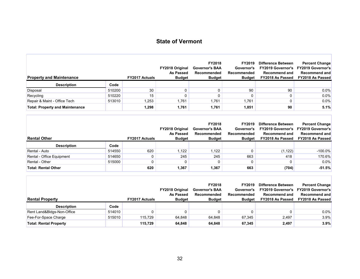F

г

| <b>Property and Maintenance</b>        |        | <b>FY2017 Actuals</b> | <b>FY2018 Original</b><br>As Passed<br><b>Budget</b> | <b>FY2018</b><br><b>Governor's BAA</b><br><b>Recommended</b><br><b>Budget</b> | FY2019<br>Governor's<br>Recommended<br><b>Budget</b> | <b>Difference Between</b><br><b>FY2019 Governor's</b><br><b>Recommend and</b><br>FY2018 As Passed | <b>Percent Change</b><br><b>FY2019 Governor's</b><br><b>Recommend and</b><br><b>FY2018 As Passed</b> |
|----------------------------------------|--------|-----------------------|------------------------------------------------------|-------------------------------------------------------------------------------|------------------------------------------------------|---------------------------------------------------------------------------------------------------|------------------------------------------------------------------------------------------------------|
| <b>Description</b>                     | Code   |                       |                                                      |                                                                               |                                                      |                                                                                                   |                                                                                                      |
| Disposal                               | 510200 | 30                    |                                                      |                                                                               | 90                                                   | 90                                                                                                | $0.0\%$                                                                                              |
| Recycling                              | 510220 | 15                    |                                                      |                                                                               | 0                                                    |                                                                                                   | 0.0%                                                                                                 |
| Repair & Maint - Office Tech           | 513010 | 1,253                 | 1,761                                                | 1,761                                                                         | 1,761                                                |                                                                                                   | 0.0%                                                                                                 |
| <b>Total: Property and Maintenance</b> |        | 1,298                 | 1,761                                                | 1,761                                                                         | 1,851                                                | 90                                                                                                | 5.1%                                                                                                 |

| <b>Rental Other</b>        |        | <b>FY2017 Actuals</b> | <b>FY2018 Original</b><br><b>As Passed</b><br><b>Budget</b> | <b>FY2018</b><br><b>Governor's BAA</b><br>Recommended<br><b>Budget</b> | <b>FY2019</b><br>Governor's<br>Recommended<br><b>Budget</b> | <b>Difference Between</b><br><b>FY2019 Governor's</b><br><b>Recommend and</b><br><b>FY2018 As Passed</b> | <b>Percent Change</b><br><b>FY2019 Governor's</b><br>Recommend and<br><b>FY2018 As Passed</b> |
|----------------------------|--------|-----------------------|-------------------------------------------------------------|------------------------------------------------------------------------|-------------------------------------------------------------|----------------------------------------------------------------------------------------------------------|-----------------------------------------------------------------------------------------------|
| <b>Description</b>         | Code   |                       |                                                             |                                                                        |                                                             |                                                                                                          |                                                                                               |
| Rental - Auto              | 514550 | 620                   | .122                                                        | 1,122                                                                  | 0                                                           | (1, 122)                                                                                                 | $-100.0\%$                                                                                    |
| Rental - Office Equipment  | 514650 |                       | 245                                                         | 245                                                                    | 663                                                         | 418                                                                                                      | 170.6%                                                                                        |
| Rental - Other             | 515000 |                       |                                                             |                                                                        | 0                                                           |                                                                                                          | $0.0\%$                                                                                       |
| <b>Total: Rental Other</b> |        | 620                   | 1,367                                                       | 1,367                                                                  | 663                                                         | (704)                                                                                                    | $-51.5%$                                                                                      |

| <b>Rental Property</b>        |        | <b>FY2017 Actuals</b> | <b>FY2018 Original</b><br>As Passed<br><b>Budget</b> | <b>FY2018</b><br><b>Governor's BAA</b><br>Recommended<br><b>Budget</b> | <b>FY2019</b><br>Governor's<br><b>Recommended</b><br><b>Budget</b> | Difference Between<br><b>FY2019 Governor's</b><br><b>Recommend and</b><br>FY2018 As Passed | <b>Percent Change</b><br><b>FY2019 Governor's</b><br>Recommend and<br><b>FY2018 As Passed</b> |
|-------------------------------|--------|-----------------------|------------------------------------------------------|------------------------------------------------------------------------|--------------------------------------------------------------------|--------------------------------------------------------------------------------------------|-----------------------------------------------------------------------------------------------|
| <b>Description</b>            | Code   |                       |                                                      |                                                                        |                                                                    |                                                                                            |                                                                                               |
| Rent Land&Bldgs-Non-Office    | 514010 |                       |                                                      |                                                                        |                                                                    |                                                                                            | $0.0\%$                                                                                       |
| Fee-For-Space Charge          | 515010 | 115.729               | 64.848                                               | 64.848                                                                 | 67.345                                                             | 2.497                                                                                      | 3.9%                                                                                          |
| <b>Total: Rental Property</b> |        | 115,729               | 64,848                                               | 64.848                                                                 | 67,345                                                             | 2,497                                                                                      | 3.9%                                                                                          |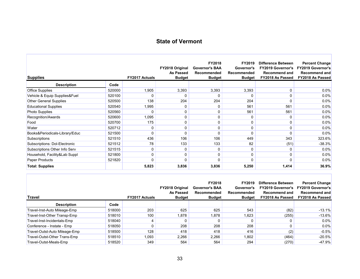| <b>Supplies</b>                |        | <b>FY2017 Actuals</b> | FY2018 Original<br><b>As Passed</b><br><b>Budget</b> | FY2018<br><b>Governor's BAA</b><br>Recommended<br><b>Budget</b> | FY2019<br>Governor's<br>Recommended<br><b>Budget</b> | <b>Difference Between</b><br><b>FY2019 Governor's</b><br><b>Recommend and</b><br>FY2018 As Passed | <b>Percent Change</b><br><b>FY2019 Governor's</b><br><b>Recommend and</b><br>FY2018 As Passed |
|--------------------------------|--------|-----------------------|------------------------------------------------------|-----------------------------------------------------------------|------------------------------------------------------|---------------------------------------------------------------------------------------------------|-----------------------------------------------------------------------------------------------|
| <b>Description</b>             | Code   |                       |                                                      |                                                                 |                                                      |                                                                                                   |                                                                                               |
| <b>Office Supplies</b>         | 520000 | 1,905                 | 3,393                                                | 3,393                                                           | 3,393                                                | $\Omega$                                                                                          | 0.0%                                                                                          |
| Vehicle & Equip Supplies&Fuel  | 520100 |                       | 0                                                    | 0                                                               | 0                                                    | 0                                                                                                 | 0.0%                                                                                          |
| <b>Other General Supplies</b>  | 520500 | 138                   | 204                                                  | 204                                                             | 204                                                  | $\Omega$                                                                                          | 0.0%                                                                                          |
| <b>Educational Supplies</b>    | 520540 | 1,995                 | 0                                                    | 0                                                               | 561                                                  | 561                                                                                               | 0.0%                                                                                          |
| Photo Supplies                 | 520560 | 0                     | 0                                                    | 0                                                               | 561                                                  | 561                                                                                               | 0.0%                                                                                          |
| Recognition/Awards             | 520600 | 1,095                 | 0                                                    | 0                                                               | $\Omega$                                             | $\Omega$                                                                                          | 0.0%                                                                                          |
| Food                           | 520700 | 175                   | 0                                                    | 0                                                               | 0                                                    | 0                                                                                                 | 0.0%                                                                                          |
| Water                          | 520712 | 0                     | 0                                                    | 0                                                               | 0                                                    | 0                                                                                                 | 0.0%                                                                                          |
| Books&Periodicals-Library/Educ | 521500 | $\Omega$              | O                                                    | $\Omega$                                                        | $\Omega$                                             | $\Omega$                                                                                          | 0.0%                                                                                          |
| Subscriptions                  | 521510 | 436                   | 106                                                  | 106                                                             | 449                                                  | 343                                                                                               | 323.6%                                                                                        |
| Subscriptions: Dol-Electronic  | 521512 | 78                    | 133                                                  | 133                                                             | 82                                                   | (51)                                                                                              | $-38.3%$                                                                                      |
| Subscriptions Other Info Serv  | 521515 | 0                     | 0                                                    | 0                                                               | 0                                                    | 0                                                                                                 | 0.0%                                                                                          |
| Household, Facility&Lab Suppl  | 521800 | $\Omega$              | 0                                                    | 0                                                               | $\Omega$                                             | $\Omega$                                                                                          | $0.0\%$                                                                                       |
| Paper Products                 | 521820 | O                     | ŋ                                                    | $\Omega$                                                        | $\Omega$                                             | $\Omega$                                                                                          | 0.0%                                                                                          |
| <b>Total: Supplies</b>         |        | 5,823                 | 3,836                                                | 3,836                                                           | 5,250                                                | 1,414                                                                                             | 36.9%                                                                                         |

| <b>Travel</b>                 |        | <b>FY2017 Actuals</b> | <b>FY2018 Original</b><br>As Passed<br><b>Budget</b> | <b>FY2018</b><br><b>Governor's BAA</b><br>Recommended<br><b>Budget</b> | FY2019<br>Governor's<br>Recommended<br><b>Budget</b> | <b>Difference Between</b><br><b>FY2019 Governor's</b><br><b>Recommend and</b><br>FY2018 As Passed | <b>Percent Change</b><br><b>FY2019 Governor's</b><br><b>Recommend and</b><br><b>FY2018 As Passed</b> |
|-------------------------------|--------|-----------------------|------------------------------------------------------|------------------------------------------------------------------------|------------------------------------------------------|---------------------------------------------------------------------------------------------------|------------------------------------------------------------------------------------------------------|
| <b>Description</b>            | Code   |                       |                                                      |                                                                        |                                                      |                                                                                                   |                                                                                                      |
| Travel-Inst-Auto Mileage-Emp  | 518000 | 203                   | 625                                                  | 625                                                                    | 543                                                  | (82)                                                                                              | $-13.1%$                                                                                             |
| Travel-Inst-Other Transp-Emp  | 518010 | 100                   | 1,878                                                | 1,878                                                                  | 1,623                                                | (255)                                                                                             | $-13.6%$                                                                                             |
| Travel-Inst-Incidentals-Emp   | 518040 | 4                     |                                                      |                                                                        |                                                      |                                                                                                   | 0.0%                                                                                                 |
| Conference - Instate - Emp    | 518050 | 0                     | 208                                                  | 208                                                                    | 208                                                  |                                                                                                   | 0.0%                                                                                                 |
| Travel-Outst-Auto Mileage-Emp | 518500 | 128                   | 418                                                  | 418                                                                    | 416                                                  | (2)                                                                                               | $-0.5%$                                                                                              |
| Travel-Outst-Other Trans-Emp  | 518510 | 1,093                 | 2,266                                                | 2,266                                                                  | 1,802                                                | (464)                                                                                             | $-20.5%$                                                                                             |
| Travel-Outst-Meals-Emp        | 518520 | 349                   | 564                                                  | 564                                                                    | 294                                                  | (270)                                                                                             | $-47.9%$                                                                                             |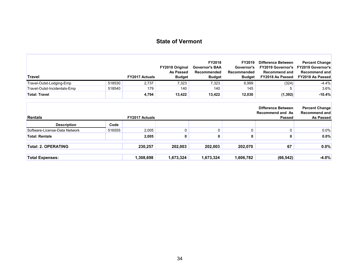| Travel                        |        | <b>FY2017 Actuals</b> | FY2018 Original<br>As Passed<br><b>Budget</b> | FY2018<br><b>Governor's BAA</b><br>Recommended<br><b>Budget</b> | FY2019<br>Governor's<br>Recommended<br><b>Budget</b> | <b>Difference Between</b><br><b>FY2019 Governor's</b><br><b>Recommend and</b><br>FY2018 As Passed | <b>Percent Change</b><br><b>FY2019 Governor's</b><br><b>Recommend and</b><br>FY2018 As Passed |
|-------------------------------|--------|-----------------------|-----------------------------------------------|-----------------------------------------------------------------|------------------------------------------------------|---------------------------------------------------------------------------------------------------|-----------------------------------------------------------------------------------------------|
| Travel-Outst-Lodging-Emp      | 518530 | 2,737                 | 7,323                                         | 7,323                                                           | 6,999                                                | (324)                                                                                             | $-4.4%$                                                                                       |
| Travel-Outst-Incidentals-Emp  | 518540 | 179                   | 140                                           | 140                                                             | 145                                                  | 5                                                                                                 | 3.6%                                                                                          |
| <b>Total: Travel</b>          |        | 4,794                 | 13,422                                        | 13,422                                                          | 12,030                                               | (1, 392)                                                                                          | $-10.4%$                                                                                      |
| <b>Rentals</b>                |        | <b>FY2017 Actuals</b> |                                               |                                                                 |                                                      | <b>Recommend and As</b><br>Passed                                                                 | <b>Recommend and</b><br><b>As Passed</b>                                                      |
| <b>Description</b>            | Code   |                       |                                               |                                                                 |                                                      |                                                                                                   |                                                                                               |
| Software-License-Data Network | 516555 | 2,005                 | 0                                             | 0                                                               | 0                                                    | $\mathbf{0}$                                                                                      | 0.0%                                                                                          |
| <b>Total: Rentals</b>         |        | 2,005                 | 0                                             | 0                                                               | 0                                                    | 0                                                                                                 | 0.0%                                                                                          |
| <b>Total: 2. OPERATING</b>    |        | 230,257               | 202,003                                       | 202,003                                                         | 202,070                                              | 67                                                                                                | 0.0%                                                                                          |
| <b>Total Expenses:</b>        |        | 1,308,698             | 1,673,324                                     | 1,673,324                                                       | 1,606,782                                            | (66, 542)                                                                                         | $-4.0%$                                                                                       |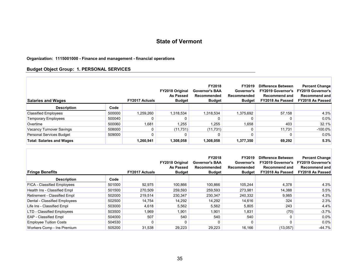#### **Organization: 1115001000 - Finance and management - financial operations**

#### **Budget Object Group: 1. PERSONAL SERVICES**

Г

| <b>Salaries and Wages</b>        |        | <b>FY2017 Actuals</b> | <b>FY2018 Original</b><br><b>As Passed</b><br><b>Budget</b> | FY2018<br><b>Governor's BAA</b><br>Recommended<br><b>Budget</b> | FY2019<br>Governor's<br>Recommended<br><b>Budget</b> | <b>Difference Between</b><br><b>FY2019 Governor's</b><br><b>Recommend and</b><br>FY2018 As Passed | <b>Percent Change</b><br><b>FY2019 Governor's</b><br><b>Recommend and</b><br><b>FY2018 As Passed</b> |
|----------------------------------|--------|-----------------------|-------------------------------------------------------------|-----------------------------------------------------------------|------------------------------------------------------|---------------------------------------------------------------------------------------------------|------------------------------------------------------------------------------------------------------|
| <b>Description</b>               | Code   |                       |                                                             |                                                                 |                                                      |                                                                                                   |                                                                                                      |
| <b>Classified Employees</b>      | 500000 | 1,259,260             | 1,318,534                                                   | 1,318,534                                                       | 1,375,692                                            | 57.158                                                                                            | 4.3%                                                                                                 |
| Temporary Employees              | 500040 |                       |                                                             |                                                                 |                                                      |                                                                                                   | 0.0%                                                                                                 |
| Overtime                         | 500060 | 1.681                 | .255                                                        | 1,255                                                           | 1,658                                                | 403                                                                                               | 32.1%                                                                                                |
| Vacancy Turnover Savings         | 508000 |                       | (11, 731)                                                   | (11, 731)                                                       |                                                      | 11.731                                                                                            | $-100.0\%$                                                                                           |
| Personal Services Budget         | 509000 |                       |                                                             |                                                                 |                                                      |                                                                                                   | $0.0\%$                                                                                              |
| <b>Total: Salaries and Wages</b> |        | 1,260,941             | 1,308,058                                                   | 1,308,058                                                       | 1,377,350                                            | 69,292                                                                                            | 5.3%                                                                                                 |

| <b>Fringe Benefits</b>             |        | <b>FY2017 Actuals</b> | FY2018 Original<br>As Passed<br><b>Budget</b> | FY2018<br><b>Governor's BAA</b><br>Recommended<br><b>Budget</b> | FY2019<br>Governor's<br>Recommended<br><b>Budget</b> | Difference Between<br><b>FY2019 Governor's</b><br><b>Recommend and</b><br>FY2018 As Passed | <b>Percent Change</b><br><b>FY2019 Governor's</b><br>Recommend and<br><b>FY2018 As Passed</b> |
|------------------------------------|--------|-----------------------|-----------------------------------------------|-----------------------------------------------------------------|------------------------------------------------------|--------------------------------------------------------------------------------------------|-----------------------------------------------------------------------------------------------|
| <b>Description</b>                 | Code   |                       |                                               |                                                                 |                                                      |                                                                                            |                                                                                               |
| <b>FICA - Classified Employees</b> | 501000 | 92,975                | 100,866                                       | 100,866                                                         | 105,244                                              | 4,378                                                                                      | 4.3%                                                                                          |
| Health Ins - Classified Empl       | 501500 | 270,509               | 259,593                                       | 259,593                                                         | 273,981                                              | 14,388                                                                                     | 5.5%                                                                                          |
| Retirement - Classified Empl       | 502000 | 219,514               | 230,347                                       | 230,347                                                         | 240,332                                              | 9,985                                                                                      | 4.3%                                                                                          |
| Dental - Classified Employees      | 502500 | 14.754                | 14,292                                        | 14,292                                                          | 14,616                                               | 324                                                                                        | 2.3%                                                                                          |
| Life Ins - Classified Empl         | 503000 | 4,618                 | 5,562                                         | 5,562                                                           | 5,805                                                | 243                                                                                        | 4.4%                                                                                          |
| <b>LTD - Classified Employees</b>  | 503500 | 1,969                 | 1,901                                         | 1,901                                                           | 1,831                                                | (70)                                                                                       | $-3.7%$                                                                                       |
| <b>EAP</b> - Classified Empl       | 504000 | 507                   | 540                                           | 540                                                             | 540                                                  | 0                                                                                          | $0.0\%$                                                                                       |
| <b>Employee Tuition Costs</b>      | 504530 |                       |                                               |                                                                 |                                                      | 0                                                                                          | $0.0\%$                                                                                       |
| Workers Comp - Ins Premium         | 505200 | 31,538                | 29,223                                        | 29,223                                                          | 16,166                                               | (13,057)                                                                                   | $-44.7%$                                                                                      |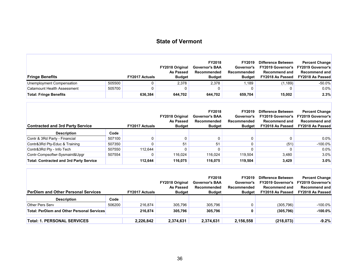Г

| <b>Fringe Benefits</b>        |        | <b>FY2017 Actuals</b> | <b>FY2018 Original</b><br>As Passed<br><b>Budget</b> | <b>FY2018</b><br><b>Governor's BAA</b><br>Recommended<br><b>Budget</b> | FY2019<br>Governor's<br>Recommended<br><b>Budget</b> | <b>Difference Between</b><br><b>FY2019 Governor's</b><br><b>Recommend and</b><br>FY2018 As Passed | <b>Percent Change</b><br><b>FY2019 Governor's</b><br><b>Recommend and</b><br><b>FY2018 As Passed</b> |
|-------------------------------|--------|-----------------------|------------------------------------------------------|------------------------------------------------------------------------|------------------------------------------------------|---------------------------------------------------------------------------------------------------|------------------------------------------------------------------------------------------------------|
| Unemployment Compensation     | 505500 |                       | 2,378                                                | 2,378                                                                  | .189                                                 | (1, 189)                                                                                          | $-50.0%$                                                                                             |
| Catamount Health Assessment   | 505700 |                       |                                                      |                                                                        |                                                      |                                                                                                   | 0.0%                                                                                                 |
| <b>Total: Fringe Benefits</b> |        | 636,384               | 644,702                                              | 644,702                                                                | 659,704                                              | 15,002                                                                                            | 2.3%                                                                                                 |

| <b>Contracted and 3rd Party Service</b>        |        | <b>FY2017 Actuals</b> | <b>FY2018 Original</b><br>As Passed<br><b>Budget</b> | <b>FY2018</b><br><b>Governor's BAA</b><br>Recommended<br><b>Budget</b> | FY2019<br>Governor's<br>Recommended<br><b>Budget</b> | <b>Difference Between</b><br><b>FY2019 Governor's</b><br>Recommend and<br>FY2018 As Passed | <b>Percent Change</b><br><b>FY2019 Governor's</b><br>Recommend and<br><b>FY2018 As Passed</b> |
|------------------------------------------------|--------|-----------------------|------------------------------------------------------|------------------------------------------------------------------------|------------------------------------------------------|--------------------------------------------------------------------------------------------|-----------------------------------------------------------------------------------------------|
| <b>Description</b>                             | Code   |                       |                                                      |                                                                        |                                                      |                                                                                            |                                                                                               |
| Contr & 3Rd Party - Financial                  | 507100 |                       |                                                      |                                                                        |                                                      |                                                                                            | $0.0\%$                                                                                       |
| Contr&3Rd Pty-Educ & Training                  | 507350 |                       | 51                                                   | 51                                                                     |                                                      | (51)                                                                                       | $-100.0\%$                                                                                    |
| Contr&3Rd Pty - Info Tech                      | 507550 | 112.644               |                                                      |                                                                        |                                                      |                                                                                            | $0.0\%$                                                                                       |
| Contr-Compsoftwr-Sysmaint&Upgr                 | 507554 |                       | 116,024                                              | 116,024                                                                | 119,504                                              | 3.480                                                                                      | $3.0\%$                                                                                       |
| <b>Total: Contracted and 3rd Party Service</b> |        | 112,644               | 116,075                                              | 116,075                                                                | 119,504                                              | 3,429                                                                                      | 3.0%                                                                                          |

| <b>PerDiem and Other Personal Services</b>        |        | <b>FY2017 Actuals</b> | <b>FY2018 Original</b><br>As Passed<br><b>Budget</b> | <b>FY2018</b><br><b>Governor's BAA</b><br>Recommended<br><b>Budget</b> | <b>FY2019</b><br>Governor's<br>Recommended<br><b>Budget</b> | <b>Difference Between</b><br><b>FY2019 Governor's</b><br><b>Recommend and</b><br>FY2018 As Passed | <b>Percent Change</b><br><b>FY2019 Governor's</b><br>Recommend and<br><b>FY2018 As Passed</b> |
|---------------------------------------------------|--------|-----------------------|------------------------------------------------------|------------------------------------------------------------------------|-------------------------------------------------------------|---------------------------------------------------------------------------------------------------|-----------------------------------------------------------------------------------------------|
| <b>Description</b>                                | Code   |                       |                                                      |                                                                        |                                                             |                                                                                                   |                                                                                               |
| Other Pers Serv                                   | 506200 | 216.874               | 305,796                                              | 305,796                                                                |                                                             | (305, 796)                                                                                        | $-100.0\%$                                                                                    |
| <b>Total: PerDiem and Other Personal Services</b> |        | 216.874               | 305.796                                              | 305,796                                                                | 0                                                           | (305, 796)                                                                                        | $-100.0%$                                                                                     |
| <b>Total: 1. PERSONAL SERVICES</b>                |        | 2,226,842             | 2,374,631                                            | 2,374,631                                                              | 2,156,558                                                   | (218, 073)                                                                                        | $-9.2%$                                                                                       |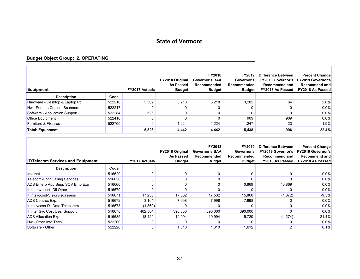#### **Budget Object Group: 2. OPERATING**

| <b>Equipment</b>                 |        | <b>FY2017 Actuals</b> | <b>FY2018 Original</b><br>As Passed<br><b>Budget</b> | <b>FY2018</b><br><b>Governor's BAA</b><br>Recommended<br><b>Budget</b> | FY2019<br>Governor's<br>Recommended<br><b>Budget</b> | Difference Between<br><b>FY2019 Governor's</b><br><b>Recommend and</b><br>FY2018 As Passed | <b>Percent Change</b><br><b>FY2019 Governor's</b><br><b>Recommend and</b><br><b>FY2018 As Passed</b> |
|----------------------------------|--------|-----------------------|------------------------------------------------------|------------------------------------------------------------------------|------------------------------------------------------|--------------------------------------------------------------------------------------------|------------------------------------------------------------------------------------------------------|
| <b>Description</b>               | Code   |                       |                                                      |                                                                        |                                                      |                                                                                            |                                                                                                      |
| Hardware - Desktop & Laptop Pc   | 522216 | 5,302                 | 3,218                                                | 3,218                                                                  | 3,282                                                | 64                                                                                         | 2.0%                                                                                                 |
| Hw - Printers, Copiers, Scanners | 522217 |                       |                                                      |                                                                        | O                                                    |                                                                                            | 0.0%                                                                                                 |
| Software - Application Support   | 522284 | 526                   |                                                      |                                                                        | 0                                                    |                                                                                            | 0.0%                                                                                                 |
| <b>Office Equipment</b>          | 522410 |                       |                                                      |                                                                        | 909                                                  | 909                                                                                        | 0.0%                                                                                                 |
| <b>Furniture &amp; Fixtures</b>  | 522700 |                       | 1,224                                                | 1,224                                                                  | 1,247                                                | 23                                                                                         | 1.9%                                                                                                 |
| <b>Total: Equipment</b>          |        | 5,828                 | 4,442                                                | 4,442                                                                  | 5,438                                                | 996                                                                                        | 22.4%                                                                                                |

| <b>IT/Telecom Services and Equipment</b> |        | <b>FY2017 Actuals</b> | <b>FY2018 Original</b><br>As Passed<br><b>Budget</b> | <b>FY2018</b><br><b>Governor's BAA</b><br>Recommended<br><b>Budget</b> | <b>FY2019</b><br>Governor's<br>Recommended<br><b>Budget</b> | Difference Between<br><b>FY2019 Governor's</b><br>Recommend and<br>FY2018 As Passed | <b>Percent Change</b><br><b>FY2019 Governor's</b><br>Recommend and<br>FY2018 As Passed |
|------------------------------------------|--------|-----------------------|------------------------------------------------------|------------------------------------------------------------------------|-------------------------------------------------------------|-------------------------------------------------------------------------------------|----------------------------------------------------------------------------------------|
| <b>Description</b>                       | Code   |                       |                                                      |                                                                        |                                                             |                                                                                     |                                                                                        |
| Internet                                 | 516620 |                       | 0                                                    |                                                                        | 0                                                           | 0                                                                                   | $0.0\%$                                                                                |
| <b>Telecom-Conf Calling Services</b>     | 516658 |                       |                                                      |                                                                        |                                                             |                                                                                     | $0.0\%$                                                                                |
| ADS Enterp App Supp SOV Emp Exp          | 516660 |                       |                                                      |                                                                        | 40,869                                                      | 40,869                                                                              | $0.0\%$                                                                                |
| It Intersyccost- Dii Other               | 516670 |                       |                                                      |                                                                        |                                                             | 0                                                                                   | 0.0%                                                                                   |
| It Intsyccost-Vision/Isdassess           | 516671 | 17,238                | 17,532                                               | 17,532                                                                 | 15,860                                                      | (1,672)                                                                             | $-9.5%$                                                                                |
| ADS Centrex Exp.                         | 516672 | 3.164                 | 7,998                                                | 7,998                                                                  | 7,998                                                       |                                                                                     | $0.0\%$                                                                                |
| It Intsvccos-Dii Data Telecomm           | 516673 | (1,869)               |                                                      |                                                                        |                                                             | 0                                                                                   | $0.0\%$                                                                                |
| It Inter Svc Cost User Support           | 516678 | 402,564               | 390,000                                              | 390,000                                                                | 390,000                                                     | <sup>0</sup>                                                                        | 0.0%                                                                                   |
| ADS Allocation Exp.                      | 516685 | 18,429                | 19,994                                               | 19,994                                                                 | 15,720                                                      | (4,274)                                                                             | $-21.4%$                                                                               |
| Hw - Other Info Tech                     | 522200 |                       |                                                      |                                                                        |                                                             | <sup>0</sup>                                                                        | $0.0\%$                                                                                |
| Software - Other                         | 522220 |                       | 1.610                                                | 1,610                                                                  | 1,612                                                       |                                                                                     | 0.1%                                                                                   |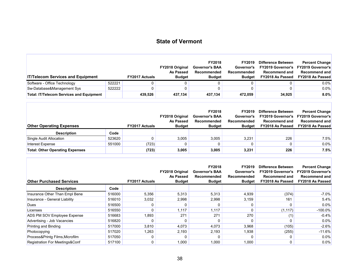Г

| <b>IT/Telecom Services and Equipment</b>        |        | <b>FY2017 Actuals</b> | <b>FY2018 Original</b><br>As Passed<br><b>Budget</b> | <b>FY2018</b><br><b>Governor's BAA</b><br>Recommended<br><b>Budget</b> | FY2019<br>Governor's<br>Recommended<br><b>Budget</b> | Difference Between<br><b>FY2019 Governor's</b><br><b>Recommend and</b><br>FY2018 As Passed | <b>Percent Change</b><br><b>FY2019 Governor's</b><br>Recommend and<br><b>FY2018 As Passed</b> |
|-------------------------------------------------|--------|-----------------------|------------------------------------------------------|------------------------------------------------------------------------|------------------------------------------------------|--------------------------------------------------------------------------------------------|-----------------------------------------------------------------------------------------------|
| Software - Office Technology                    | 522221 |                       |                                                      |                                                                        |                                                      |                                                                                            | $0.0\%$                                                                                       |
| Sw-Database&Management Sys                      | 522222 |                       |                                                      |                                                                        |                                                      |                                                                                            | 0.0%                                                                                          |
| <b>Total: IT/Telecom Services and Equipment</b> |        | 439.526               | 437,134                                              | 437,134                                                                | 472,059                                              | 34,925                                                                                     | 8.0%                                                                                          |

| <b>Other Operating Expenses</b>        |        | <b>FY2017 Actuals</b> | <b>FY2018 Original</b><br>As Passed<br><b>Budget</b> | <b>FY2018</b><br>Governor's BAA<br>Recommended<br><b>Budget</b> | <b>FY2019</b><br>Governor's<br>Recommended<br><b>Budget</b> | Difference Between<br><b>FY2019 Governor's</b><br><b>Recommend and</b><br>FY2018 As Passed | <b>Percent Change</b><br><b>FY2019 Governor's</b><br>Recommend and<br><b>FY2018 As Passed</b> |
|----------------------------------------|--------|-----------------------|------------------------------------------------------|-----------------------------------------------------------------|-------------------------------------------------------------|--------------------------------------------------------------------------------------------|-----------------------------------------------------------------------------------------------|
| <b>Description</b>                     | Code   |                       |                                                      |                                                                 |                                                             |                                                                                            |                                                                                               |
| Single Audit Allocation                | 523620 |                       | 3,005                                                | 3,005                                                           | 3.231                                                       | 226                                                                                        | 7.5%                                                                                          |
| Interest Expense                       | 551000 | (723)                 |                                                      |                                                                 |                                                             |                                                                                            | 0.0%                                                                                          |
| <b>Total: Other Operating Expenses</b> |        | (723)                 | 3,005                                                | 3,005                                                           | 3,231                                                       | 226                                                                                        | 7.5%                                                                                          |

| <b>Other Purchased Services</b> |        | <b>FY2017 Actuals</b> | <b>FY2018 Original</b><br>As Passed<br><b>Budget</b> | <b>FY2018</b><br><b>Governor's BAA</b><br>Recommended<br><b>Budget</b> | FY2019<br>Governor's<br>Recommended<br><b>Budget</b> | Difference Between<br><b>FY2019 Governor's</b><br>Recommend and<br>FY2018 As Passed | <b>Percent Change</b><br><b>FY2019 Governor's</b><br><b>Recommend and</b><br><b>FY2018 As Passed</b> |
|---------------------------------|--------|-----------------------|------------------------------------------------------|------------------------------------------------------------------------|------------------------------------------------------|-------------------------------------------------------------------------------------|------------------------------------------------------------------------------------------------------|
| <b>Description</b>              | Code   |                       |                                                      |                                                                        |                                                      |                                                                                     |                                                                                                      |
| Insurance Other Than Empl Bene  | 516000 | 5,356                 | 5,313                                                | 5,313                                                                  | 4,939                                                | (374)                                                                               | $-7.0\%$                                                                                             |
| Insurance - General Liability   | 516010 | 3.032                 | 2.998                                                | 2.998                                                                  | 3,159                                                | 161                                                                                 | 5.4%                                                                                                 |
| Dues                            | 516500 | 0                     |                                                      |                                                                        |                                                      |                                                                                     | $0.0\%$                                                                                              |
| Licenses                        | 516550 | 0                     | 1,117                                                | 1,117                                                                  |                                                      | (1, 117)                                                                            | $-100.0\%$                                                                                           |
| ADS PM SOV Employee Expense     | 516683 | 1,893                 | 271                                                  | 271                                                                    | 270                                                  | (1)                                                                                 | $-0.4%$                                                                                              |
| Advertising - Job Vacancies     | 516820 | 0                     |                                                      |                                                                        |                                                      |                                                                                     | 0.0%                                                                                                 |
| Printing and Binding            | 517000 | 3,810                 | 4,073                                                | 4,073                                                                  | 3,968                                                | (105)                                                                               | $-2.6%$                                                                                              |
| Photocopying                    | 517020 | 1,263                 | 2,193                                                | 2,193                                                                  | 1,938                                                | (255)                                                                               | $-11.6%$                                                                                             |
| Process&Printg Films, Microfilm | 517050 | 0                     |                                                      |                                                                        |                                                      |                                                                                     | 0.0%                                                                                                 |
| Registration For Meetings&Conf  | 517100 | 0                     | 1,000                                                | 1,000                                                                  | 1,000                                                |                                                                                     | $0.0\%$                                                                                              |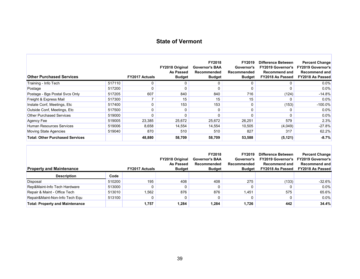F

| <b>Other Purchased Services</b>        |        | <b>FY2017 Actuals</b> | <b>FY2018 Original</b><br>As Passed<br><b>Budget</b> | <b>FY2018</b><br><b>Governor's BAA</b><br>Recommended<br><b>Budget</b> | FY2019<br>Governor's<br>Recommended<br><b>Budget</b> | Difference Between<br><b>FY2019 Governor's</b><br><b>Recommend and</b><br>FY2018 As Passed | <b>Percent Change</b><br><b>FY2019 Governor's</b><br><b>Recommend and</b><br><b>FY2018 As Passed</b> |
|----------------------------------------|--------|-----------------------|------------------------------------------------------|------------------------------------------------------------------------|------------------------------------------------------|--------------------------------------------------------------------------------------------|------------------------------------------------------------------------------------------------------|
| Training - Info Tech                   | 517110 |                       |                                                      |                                                                        | 0                                                    |                                                                                            | $0.0\%$                                                                                              |
| Postage                                | 517200 |                       |                                                      |                                                                        | 0                                                    | 0                                                                                          | $0.0\%$                                                                                              |
| Postage - Bgs Postal Svcs Only         | 517205 | 607                   | 840                                                  | 840                                                                    | 716                                                  | (124)                                                                                      | $-14.8%$                                                                                             |
| Freight & Express Mail                 | 517300 |                       | 15                                                   | 15                                                                     | 15                                                   |                                                                                            | $0.0\%$                                                                                              |
| Instate Conf, Meetings, Etc.           | 517400 |                       | 153                                                  | 153                                                                    | 0                                                    | (153)                                                                                      | $-100.0\%$                                                                                           |
| Outside Conf, Meetings, Etc.           | 517500 |                       |                                                      |                                                                        | 0                                                    |                                                                                            | $0.0\%$                                                                                              |
| <b>Other Purchased Services</b>        | 519000 |                       |                                                      |                                                                        |                                                      |                                                                                            | $0.0\%$                                                                                              |
| Agency Fee                             | 519005 | 23,385                | 25,672                                               | 25,672                                                                 | 26,251                                               | 579                                                                                        | 2.3%                                                                                                 |
| Human Resources Services               | 519006 | 8,658                 | 14,554                                               | 14,554                                                                 | 10,505                                               | (4,049)                                                                                    | $-27.8%$                                                                                             |
| Moving State Agencies                  | 519040 | 870                   | 510                                                  | 510                                                                    | 827                                                  | 317                                                                                        | 62.2%                                                                                                |
| <b>Total: Other Purchased Services</b> |        | 48,880                | 58,709                                               | 58,709                                                                 | 53,588                                               | (5, 121)                                                                                   | $-8.7%$                                                                                              |

| <b>Property and Maintenance</b>        |        | <b>FY2017 Actuals</b> | <b>FY2018 Original</b><br>As Passed<br><b>Budget</b> | <b>FY2018</b><br><b>Governor's BAA</b><br>Recommended<br><b>Budget</b> | <b>FY2019</b><br>Governor's<br>Recommended<br><b>Budget</b> | Difference Between<br><b>FY2019 Governor's</b><br><b>Recommend and</b><br>FY2018 As Passed | <b>Percent Change</b><br><b>FY2019 Governor's</b><br><b>Recommend and</b><br><b>FY2018 As Passed</b> |
|----------------------------------------|--------|-----------------------|------------------------------------------------------|------------------------------------------------------------------------|-------------------------------------------------------------|--------------------------------------------------------------------------------------------|------------------------------------------------------------------------------------------------------|
| <b>Description</b>                     | Code   |                       |                                                      |                                                                        |                                                             |                                                                                            |                                                                                                      |
| Disposal                               | 510200 | 195                   | 408                                                  | 408                                                                    | 275                                                         | (133)                                                                                      | $-32.6%$                                                                                             |
| Rep&Maint-Info Tech Hardware           | 513000 | $\Omega$              |                                                      |                                                                        |                                                             |                                                                                            | 0.0%                                                                                                 |
| Repair & Maint - Office Tech           | 513010 | .562                  | 876                                                  | 876                                                                    | 1.451                                                       | 575                                                                                        | 65.6%                                                                                                |
| Repair&Maint-Non-Info Tech Equ         | 513100 | 0                     |                                                      |                                                                        |                                                             |                                                                                            | $0.0\%$                                                                                              |
| <b>Total: Property and Maintenance</b> |        | 1,757                 | 1,284                                                | 1,284                                                                  | 1,726                                                       | 442                                                                                        | 34.4%                                                                                                |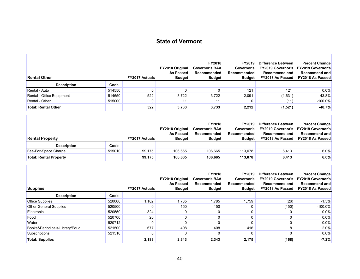л

| <b>Rental Other</b>        |        | <b>FY2017 Actuals</b> | <b>FY2018 Original</b><br>As Passed<br><b>Budget</b> | <b>FY2018</b><br><b>Governor's BAA</b><br><b>Recommended</b><br><b>Budget</b> | FY2019<br>Governor's<br>Recommended<br><b>Budget</b> | <b>Difference Between</b><br><b>FY2019 Governor's</b><br><b>Recommend and</b><br><b>FY2018 As Passed</b> | <b>Percent Change</b><br><b>FY2019 Governor's</b><br><b>Recommend and</b><br><b>FY2018 As Passed</b> |
|----------------------------|--------|-----------------------|------------------------------------------------------|-------------------------------------------------------------------------------|------------------------------------------------------|----------------------------------------------------------------------------------------------------------|------------------------------------------------------------------------------------------------------|
| <b>Description</b>         | Code   |                       |                                                      |                                                                               |                                                      |                                                                                                          |                                                                                                      |
| Rental - Auto              | 514550 |                       |                                                      |                                                                               | 121                                                  | 121                                                                                                      | $0.0\%$                                                                                              |
| Rental - Office Equipment  | 514650 | 522                   | 3,722                                                | 3.722                                                                         | 2.091                                                | (1,631)                                                                                                  | $-43.8%$                                                                                             |
| Rental - Other             | 515000 |                       | 11                                                   |                                                                               | 0                                                    | (11)                                                                                                     | $-100.0\%$                                                                                           |
| <b>Total: Rental Other</b> |        | 522                   | 3,733                                                | 3,733                                                                         | 2,212                                                | (1,521)                                                                                                  | $-40.7%$                                                                                             |

| <b>Rental Property</b>        |        | <b>FY2017 Actuals</b> | <b>FY2018 Original</b><br>As Passed<br><b>Budget</b> | <b>FY2018</b><br><b>Governor's BAA</b><br>Recommended<br><b>Budget</b> | <b>FY2019</b><br>Governor's<br>Recommended<br><b>Budget</b> | Difference Between<br><b>FY2019 Governor's</b><br><b>Recommend and</b><br>FY2018 As Passed | <b>Percent Change</b><br><b>FY2019 Governor's</b><br>Recommend and<br><b>FY2018 As Passed</b> |
|-------------------------------|--------|-----------------------|------------------------------------------------------|------------------------------------------------------------------------|-------------------------------------------------------------|--------------------------------------------------------------------------------------------|-----------------------------------------------------------------------------------------------|
| <b>Description</b>            | Code   |                       |                                                      |                                                                        |                                                             |                                                                                            |                                                                                               |
| Fee-For-Space Charge          | 515010 | 99.175                | 106,665                                              | 106.665                                                                | 113.078                                                     | 6,413                                                                                      | 6.0%                                                                                          |
| <b>Total: Rental Property</b> |        | 99.175                | 106,665                                              | 106,665                                                                | 113,078                                                     | 6,413                                                                                      | 6.0%                                                                                          |

| <b>Supplies</b>                |        | <b>FY2017 Actuals</b> | <b>FY2018 Original</b><br>As Passed<br><b>Budget</b> | <b>FY2018</b><br><b>Governor's BAA</b><br>Recommended<br><b>Budget</b> | FY2019<br>Governor's<br>Recommended<br><b>Budget</b> | <b>Difference Between</b><br><b>FY2019 Governor's</b><br><b>Recommend and</b><br>FY2018 As Passed | <b>Percent Change</b><br><b>FY2019 Governor's</b><br>Recommend and<br><b>FY2018 As Passed</b> |
|--------------------------------|--------|-----------------------|------------------------------------------------------|------------------------------------------------------------------------|------------------------------------------------------|---------------------------------------------------------------------------------------------------|-----------------------------------------------------------------------------------------------|
| <b>Description</b>             | Code   |                       |                                                      |                                                                        |                                                      |                                                                                                   |                                                                                               |
| <b>Office Supplies</b>         | 520000 | 1,162                 | 1,785                                                | 1,785                                                                  | .759                                                 | (26)                                                                                              | $-1.5%$                                                                                       |
| <b>Other General Supplies</b>  | 520500 |                       | 150                                                  | 150                                                                    |                                                      | (150)                                                                                             | $-100.0\%$                                                                                    |
| Electronic                     | 520550 | 324                   |                                                      |                                                                        |                                                      |                                                                                                   | 0.0%                                                                                          |
| Food                           | 520700 | 20                    |                                                      |                                                                        |                                                      |                                                                                                   | $0.0\%$                                                                                       |
| Water                          | 520712 |                       |                                                      |                                                                        |                                                      |                                                                                                   | $0.0\%$                                                                                       |
| Books&Periodicals-Library/Educ | 521500 | 677                   | 408                                                  | 408                                                                    | 416                                                  |                                                                                                   | 2.0%                                                                                          |
| Subscriptions                  | 521510 |                       |                                                      |                                                                        |                                                      |                                                                                                   | 0.0%                                                                                          |
| <b>Total: Supplies</b>         |        | 2,183                 | 2,343                                                | 2,343                                                                  | 2,175                                                | (168)                                                                                             | $-7.2%$                                                                                       |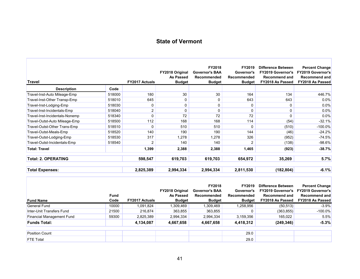| <b>Travel</b>                  |        | <b>FY2017 Actuals</b> | FY2018 Original<br>As Passed<br><b>Budget</b> | FY2018<br><b>Governor's BAA</b><br>Recommended<br><b>Budget</b> | FY2019<br>Governor's<br>Recommended<br><b>Budget</b> | Difference Between<br><b>FY2019 Governor's</b><br><b>Recommend and</b><br>FY2018 As Passed | <b>Percent Change</b><br><b>FY2019 Governor's</b><br><b>Recommend and</b><br>FY2018 As Passed |
|--------------------------------|--------|-----------------------|-----------------------------------------------|-----------------------------------------------------------------|------------------------------------------------------|--------------------------------------------------------------------------------------------|-----------------------------------------------------------------------------------------------|
| <b>Description</b>             | Code   |                       |                                               |                                                                 |                                                      |                                                                                            |                                                                                               |
| Travel-Inst-Auto Mileage-Emp   | 518000 | 180                   | 30                                            | 30                                                              | 164                                                  | 134                                                                                        | 446.7%                                                                                        |
| Travel-Inst-Other Transp-Emp   | 518010 | 645                   | 0                                             | 0                                                               | 643                                                  | 643                                                                                        | 0.0%                                                                                          |
| Travel-Inst-Lodging-Emp        | 518030 | 0                     | 0                                             | 0                                                               | 0                                                    | 0                                                                                          | 0.0%                                                                                          |
| Travel-Inst-Incidentals-Emp    | 518040 | 2                     | $\mathbf{0}$                                  | 0                                                               | 0                                                    |                                                                                            | 0.0%                                                                                          |
| Travel-Inst-Incidentals-Nonemp | 518340 | 0                     | 72                                            | 72                                                              | 72                                                   | $\Omega$                                                                                   | $0.0\%$                                                                                       |
| Travel-Outst-Auto Mileage-Emp  | 518500 | 112                   | 168                                           | 168                                                             | 114                                                  | (54)                                                                                       | $-32.1%$                                                                                      |
| Travel-Outst-Other Trans-Emp   | 518510 | 0                     | 510                                           | 510                                                             | $\Omega$                                             | (510)                                                                                      | $-100.0\%$                                                                                    |
| Travel-Outst-Meals-Emp         | 518520 | 140                   | 190                                           | 190                                                             | 144                                                  | (46)                                                                                       | $-24.2%$                                                                                      |
| Travel-Outst-Lodging-Emp       | 518530 | 317                   | 1,278                                         | 1,278                                                           | 326                                                  | (952)                                                                                      | $-74.5%$                                                                                      |
| Travel-Outst-Incidentals-Emp   | 518540 | 2                     | 140                                           | 140                                                             | $\overline{2}$                                       | (138)                                                                                      | $-98.6%$                                                                                      |
| <b>Total: Travel</b>           |        | 1,399                 | 2,388                                         | 2,388                                                           | 1,465                                                | (923)                                                                                      | $-38.7%$                                                                                      |
| <b>Total: 2. OPERATING</b>     |        | 598,547               | 619,703                                       | 619,703                                                         | 654,972                                              | 35,269                                                                                     | 5.7%                                                                                          |
|                                |        |                       |                                               |                                                                 |                                                      |                                                                                            |                                                                                               |
| <b>Total Expenses:</b>         |        | 2,825,389             | 2,994,334                                     | 2,994,334                                                       | 2,811,530                                            | (182, 804)                                                                                 | $-6.1%$                                                                                       |

| <b>Fund Name</b>                 | <b>Fund</b><br>Code | <b>FY2017 Actuals</b> | <b>FY2018 Original</b><br>As Passed<br><b>Budget</b> | <b>FY2018</b><br><b>Governor's BAA</b><br>Recommended<br><b>Budget</b> | FY2019<br>Governor's<br>Recommended<br><b>Budget</b> | Difference Between<br><b>FY2019 Governor's</b><br><b>Recommend and</b><br>FY2018 As Passed | <b>Percent Change</b><br><b>FY2019 Governor's</b><br><b>Recommend and</b><br><b>FY2018 As Passed</b> |
|----------------------------------|---------------------|-----------------------|------------------------------------------------------|------------------------------------------------------------------------|------------------------------------------------------|--------------------------------------------------------------------------------------------|------------------------------------------------------------------------------------------------------|
| General Fund                     | 10000               | 1,091,824             | .309,469                                             | 1,309,469                                                              | 1,258,956                                            | (50, 513)                                                                                  | $-3.9%$                                                                                              |
| Inter-Unit Transfers Fund        | 21500               | 216,874               | 363,855                                              | 363,855                                                                |                                                      | (363, 855)                                                                                 | $-100.0\%$                                                                                           |
| <b>Financial Management Fund</b> | 59300               | 2,825,389             | 2,994,334                                            | 2,994,334                                                              | 3,159,356                                            | 165,022                                                                                    | 5.5%                                                                                                 |
| <b>Funds Total:</b>              |                     | 4,134,087             | 4,667,658                                            | 4,667,658                                                              | 4,418,312                                            | (249, 346)                                                                                 | $-5.3%$                                                                                              |
|                                  |                     |                       |                                                      |                                                                        |                                                      |                                                                                            |                                                                                                      |
| <b>Position Count</b>            |                     |                       |                                                      |                                                                        | 29.0                                                 |                                                                                            |                                                                                                      |
| <b>FTE Total</b>                 |                     |                       |                                                      |                                                                        | 29.0                                                 |                                                                                            |                                                                                                      |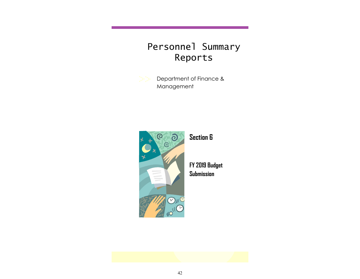# Personnel Summary Reports

Department of Finance & Management



**Section 6**

**FY 2019 Budget Submission**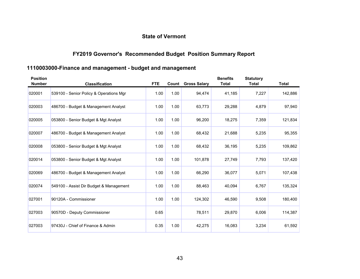## **FY2019 Governor's Recommended Budget Position Summary Report**

## **1110003000-Finance and management - budget and management**

| <b>Position</b><br><b>Number</b> | <b>Classification</b>                   | <b>FTE</b> | Count | <b>Gross Salary</b> | <b>Benefits</b><br><b>Total</b> | <b>Statutory</b><br>Total | Total   |
|----------------------------------|-----------------------------------------|------------|-------|---------------------|---------------------------------|---------------------------|---------|
| 020001                           | 539100 - Senior Policy & Operations Mgr | 1.00       | 1.00  | 94,474              | 41,185                          | 7,227                     | 142,886 |
| 020003                           | 486700 - Budget & Management Analyst    | 1.00       | 1.00  | 63,773              | 29,288                          | 4,879                     | 97,940  |
| 020005                           | 053800 - Senior Budget & Mgt Analyst    | 1.00       | 1.00  | 96,200              | 18,275                          | 7,359                     | 121,834 |
| 020007                           | 486700 - Budget & Management Analyst    | 1.00       | 1.00  | 68,432              | 21,688                          | 5,235                     | 95,355  |
| 020008                           | 053800 - Senior Budget & Mgt Analyst    | 1.00       | 1.00  | 68,432              | 36,195                          | 5,235                     | 109,862 |
| 020014                           | 053800 - Senior Budget & Mgt Analyst    | 1.00       | 1.00  | 101,878             | 27,749                          | 7,793                     | 137,420 |
| 020069                           | 486700 - Budget & Management Analyst    | 1.00       | 1.00  | 66,290              | 36,077                          | 5,071                     | 107,438 |
| 020074                           | 549100 - Assist Dir Budget & Management | 1.00       | 1.00  | 88,463              | 40,094                          | 6,767                     | 135,324 |
| 027001                           | 90120A - Commissioner                   | 1.00       | 1.00  | 124,302             | 46,590                          | 9,508                     | 180,400 |
| 027003                           | 90570D - Deputy Commissioner            | 0.65       |       | 78,511              | 29,870                          | 6,006                     | 114,387 |
| 027003                           | 97430J - Chief of Finance & Admin       | 0.35       | 1.00  | 42,275              | 16,083                          | 3,234                     | 61,592  |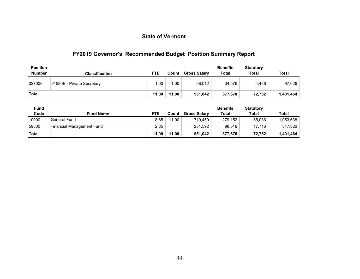## **FY2019 Governor's Recommended Budget Position Summary Report**

| <b>Position</b><br>Number | <b>Classification</b>      | <b>FTE</b> | Count | <b>Gross Salary</b> | <b>Benefits</b><br><b>Total</b> | <b>Statutory</b><br><b>Total</b> | <b>Total</b> |
|---------------------------|----------------------------|------------|-------|---------------------|---------------------------------|----------------------------------|--------------|
| 027006                    | 91590E - Private Secretary | 1.00       | 1.00  | 58.012              | 34.576                          | 4.438                            | 97,026       |
| <b>Total</b>              |                            | 11.00      | 11.00 | 951,042             | 377,670                         | 72,752                           | 1,401,464    |
|                           |                            |            |       |                     |                                 |                                  |              |

| <b>Fund</b>  |                           |            |       |                     | <b>Benefits</b> | <b>Statutory</b> |           |
|--------------|---------------------------|------------|-------|---------------------|-----------------|------------------|-----------|
| Code         | <b>Fund Name</b>          | <b>FTE</b> | Count | <b>Gross Salary</b> | Total           | <b>Total</b>     | Total     |
| 10000        | <b>General Fund</b>       | 8.65       | 11.00 | 719.450             | 279.152         | 55,036           | 1,053,638 |
| 59300        | Financial Management Fund | 2.35       |       | 231,592             | 98.518          | 17.716           | 347.826   |
| <b>Total</b> |                           | 11.00      | 11.00 | 951.042             | 377.670         | 72.752           | 1.401.464 |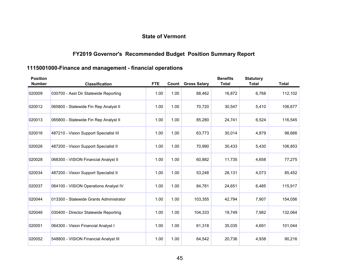## **FY2019 Governor's Recommended Budget Position Summary Report**

## **1115001000-Finance and management - financial operations**

| <b>Position</b><br><b>Number</b> | <b>Classification</b>                   | <b>FTE</b> | Count | <b>Gross Salary</b> | <b>Benefits</b><br><b>Total</b> | <b>Statutory</b><br><b>Total</b> | <b>Total</b> |
|----------------------------------|-----------------------------------------|------------|-------|---------------------|---------------------------------|----------------------------------|--------------|
| 020009                           | 030700 - Asst Dir Statewide Reporting   | 1.00       | 1.00  | 88,462              | 16,872                          | 6,768                            | 112,102      |
| 020012                           | 065800 - Statewide Fin Rep Analyst II   | 1.00       | 1.00  | 70,720              | 30,547                          | 5,410                            | 106,677      |
| 020013                           | 065800 - Statewide Fin Rep Analyst II   | 1.00       | 1.00  | 85,280              | 24,741                          | 6,524                            | 116,545      |
| 020016                           | 487210 - Vision Support Specialist III  | 1.00       | 1.00  | 63,773              | 30,014                          | 4,879                            | 98,666       |
| 020026                           | 487200 - Vision Support Specialist II   | 1.00       | 1.00  | 70,990              | 30,433                          | 5,430                            | 106,853      |
| 020028                           | 068300 - VISION Financial Analyst II    | 1.00       | 1.00  | 60,882              | 11,735                          | 4,658                            | 77,275       |
| 020034                           | 487200 - Vision Support Specialist II   | 1.00       | 1.00  | 53,248              | 28,131                          | 4,073                            | 85,452       |
| 020037                           | 064100 - VISION Operations Analyst IV   | 1.00       | 1.00  | 84,781              | 24,651                          | 6,485                            | 115,917      |
| 020044                           | 013300 - Statewide Grants Administrator | 1.00       | 1.00  | 103,355             | 42,794                          | 7,907                            | 154,056      |
| 020046                           | 030400 - Director Statewide Reporting   | 1.00       | 1.00  | 104,333             | 19,749                          | 7,982                            | 132,064      |
| 020051                           | 064300 - Vision Financial Analyst I     | 1.00       | 1.00  | 61,318              | 35,035                          | 4,691                            | 101,044      |
| 020052                           | 548800 - VISION Financial Analyst III   | 1.00       | 1.00  | 64,542              | 20,736                          | 4,938                            | 90,216       |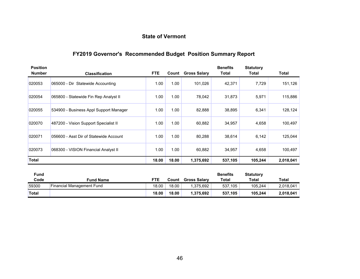## **FY2019 Governor's Recommended Budget Position Summary Report**

| <b>Position</b><br><b>Number</b> | <b>Classification</b>                  | FTE.  | Count | <b>Gross Salary</b> | <b>Benefits</b><br>Total | <b>Statutory</b><br><b>Total</b> | Total     |
|----------------------------------|----------------------------------------|-------|-------|---------------------|--------------------------|----------------------------------|-----------|
| 020053                           | 065000 - Dir Statewide Accounting      | 1.00  | 1.00  | 101,026             | 42,371                   | 7,729                            | 151,126   |
| 020054                           | 065800 - Statewide Fin Rep Analyst II  | 1.00  | 1.00  | 78,042              | 31,873                   | 5,971                            | 115,886   |
| 020055                           | 534900 - Business Appl Support Manager | 1.00  | 1.00  | 82,888              | 38,895                   | 6,341                            | 128,124   |
| 020070                           | 487200 - Vision Support Specialist II  | 1.00  | 1.00  | 60,882              | 34,957                   | 4,658                            | 100,497   |
| 020071                           | 056600 - Asst Dir of Statewide Account | 1.00  | 1.00  | 80,288              | 38,614                   | 6,142                            | 125,044   |
| 020073                           | 068300 - VISION Financial Analyst II   | 1.00  | 1.00  | 60,882              | 34,957                   | 4,658                            | 100,497   |
| Total                            |                                        | 18.00 | 18.00 | 1,375,692           | 537,105                  | 105,244                          | 2,018,041 |

| Fund         |                           |            |       |                     | <b>Benefits</b> | <b>Statutory</b> |           |
|--------------|---------------------------|------------|-------|---------------------|-----------------|------------------|-----------|
| Code         | <b>Fund Name</b>          | <b>FTE</b> | Count | <b>Gross Salary</b> | Total           | Total            | Total     |
| 59300        | Financial Management Fund | 18.00      | 18.00 | 1.375.692           | 537,105         | 105,244          | 2,018,041 |
| <b>Total</b> |                           | 18.00      | 18.00 | 1.375.692           | 537.105         | 105.244          | 2,018,041 |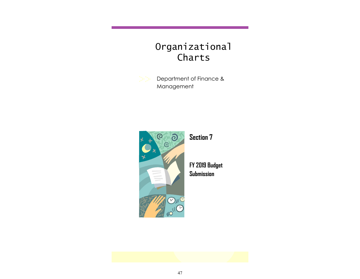# Organizational Charts

Department of Finance & Management



**Section 7**

**FY 2019 Budget Submission**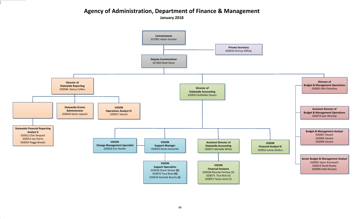## **Agency of Administration, Department of Finance & Management**

**January 2018**

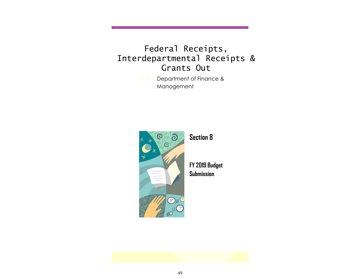# Federal Receipts, Interdepartmental Receipts & Grants Out

Department of Finance & Management



**Section 8**

**FY 2019 Budget Submission**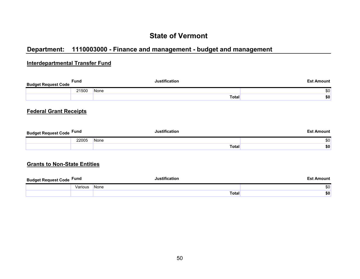## **Department: 1110003000 - Finance and management - budget and management**

### **Interdepartmental Transfer Fund**

| <b>Budget Request Code</b> | <b>Fund</b> |      | lustification | <b>Est Amount</b> |
|----------------------------|-------------|------|---------------|-------------------|
|                            | 21500       | None |               | \$0               |
|                            |             |      | Total         | \$0               |
|                            |             |      |               |                   |

### **Federal Grant Receipts**

| <b>Budget Request Code Fund</b> |       | <b>Justification</b> | Est Amount |
|---------------------------------|-------|----------------------|------------|
|                                 | 22005 | None                 | \$0        |
|                                 |       | <b>Total</b>         | \$0        |

#### **Grants to Non-State Entities**

| <b>Budget Request Code Fund</b> |         |             | Amount |
|---------------------------------|---------|-------------|--------|
|                                 | Various | <b>None</b> | \$0    |
|                                 |         | Total       | \$0    |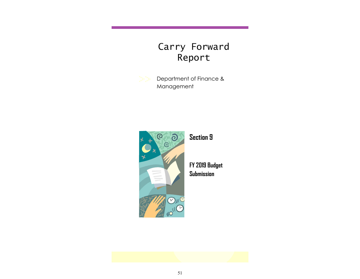# Carry Forward Report

Department of Finance & Management



**Section 9**

**FY 2019 Budget Submission**